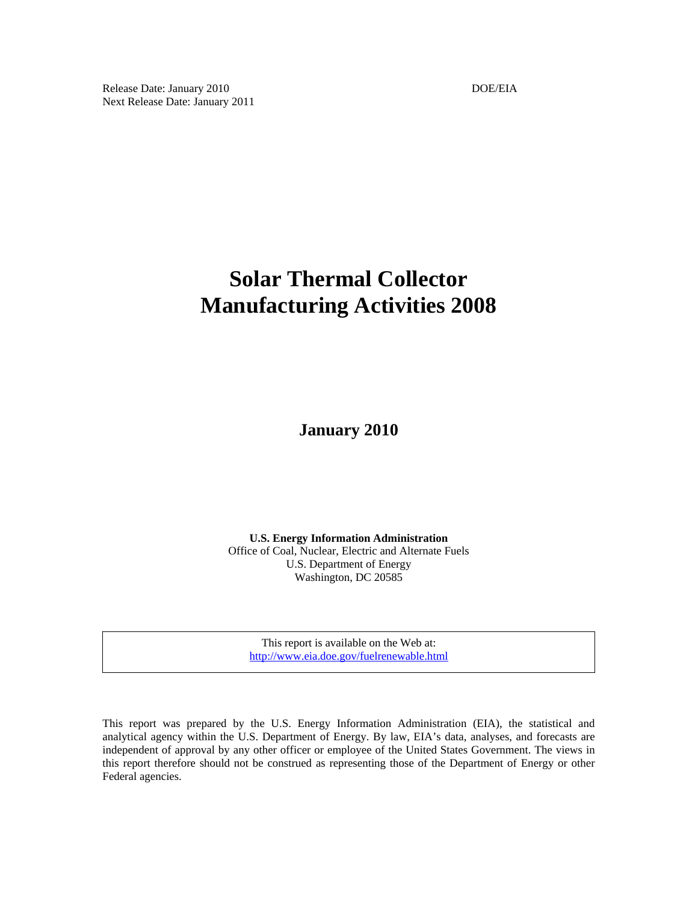Release Date: January 2010 DOE/EIA Next Release Date: January 2011

# **Solar Thermal Collector Manufacturing Activities 2008**

**January 2010** 

**U.S. Energy Information Administration**  Office of Coal, Nuclear, Electric and Alternate Fuels U.S. Department of Energy Washington, DC 20585

This report is available on the Web at: http://www.eia.doe.gov/fuelrenewable.html

This report was prepared by the U.S. Energy Information Administration (EIA), the statistical and analytical agency within the U.S. Department of Energy. By law, EIA's data, analyses, and forecasts are independent of approval by any other officer or employee of the United States Government. The views in this report therefore should not be construed as representing those of the Department of Energy or other Federal agencies.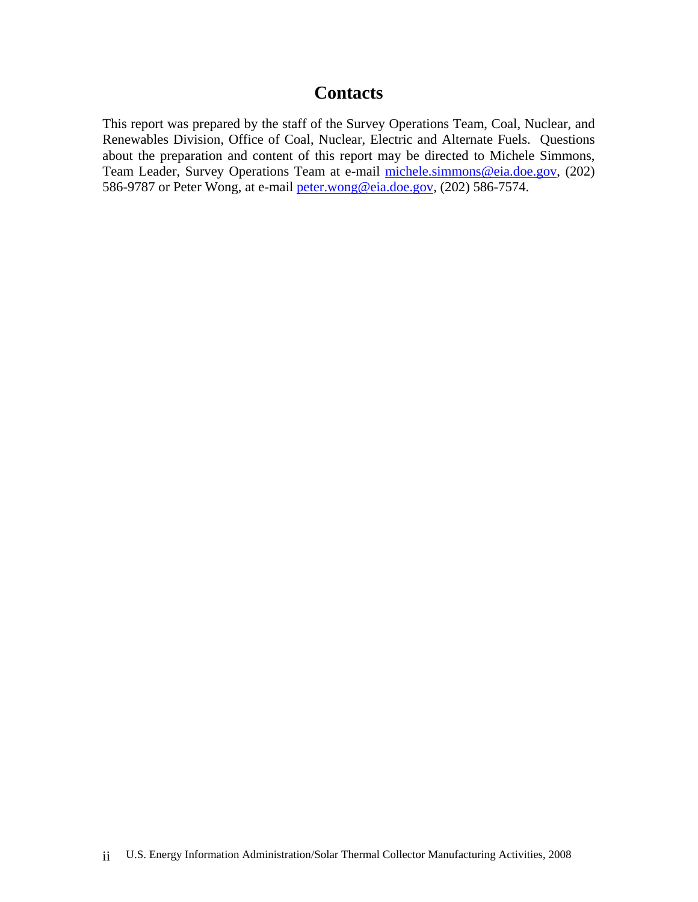# **Contacts**

This report was prepared by the staff of the Survey Operations Team, Coal, Nuclear, and Renewables Division, Office of Coal, Nuclear, Electric and Alternate Fuels. Questions about the preparation and content of this report may be directed to Michele Simmons, Team Leader, Survey Operations Team at e-mail michele.simmons@eia.doe.gov, (202) 586-9787 or Peter Wong, at e-mail peter.wong@eia.doe.gov, (202) 586-7574.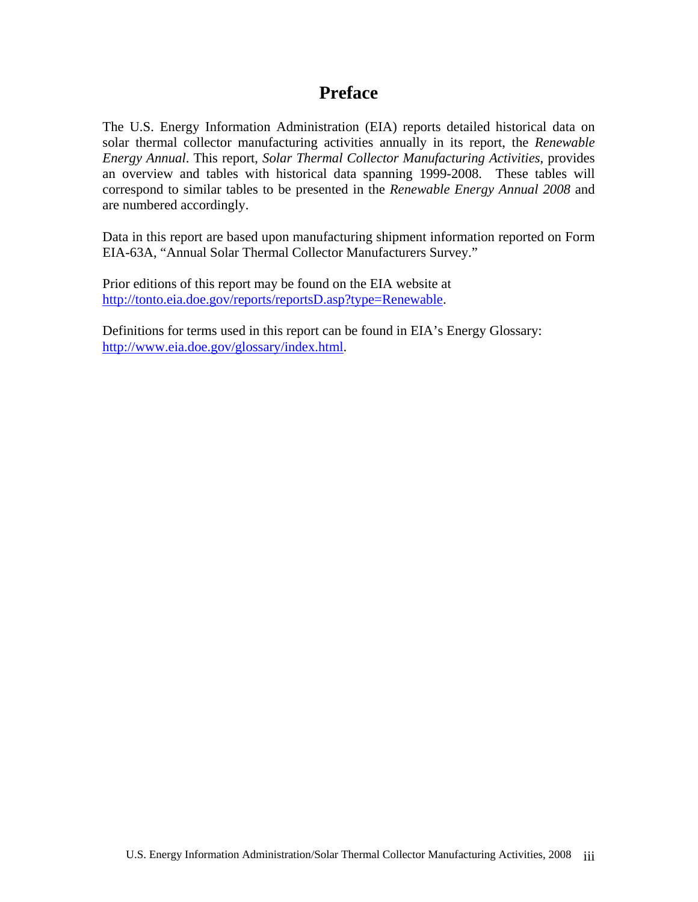# **Preface**

The U.S. Energy Information Administration (EIA) reports detailed historical data on solar thermal collector manufacturing activities annually in its report, the *Renewable Energy Annual*. This report, *Solar Thermal Collector Manufacturing Activities*, provides an overview and tables with historical data spanning 1999-2008. These tables will correspond to similar tables to be presented in the *Renewable Energy Annual 2008* and are numbered accordingly.

Data in this report are based upon manufacturing shipment information reported on Form EIA-63A, "Annual Solar Thermal Collector Manufacturers Survey."

Prior editions of this report may be found on the EIA website at http://tonto.eia.doe.gov/reports/reportsD.asp?type=Renewable.

Definitions for terms used in this report can be found in EIA's Energy Glossary: http://www.eia.doe.gov/glossary/index.html.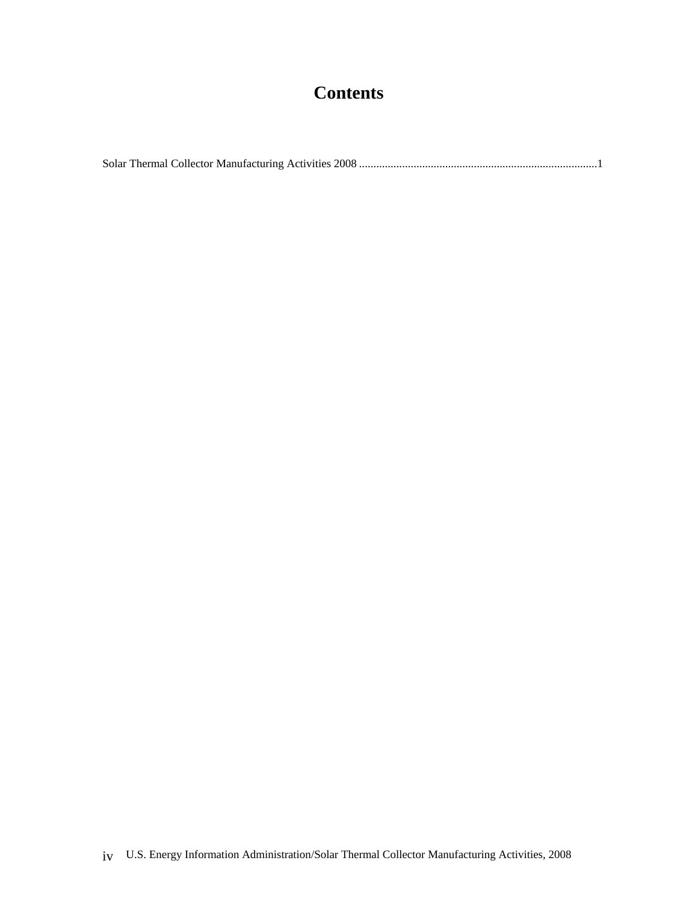# **Contents**

Solar Thermal Collector Manufacturing Activities 2008 ...................................................................................1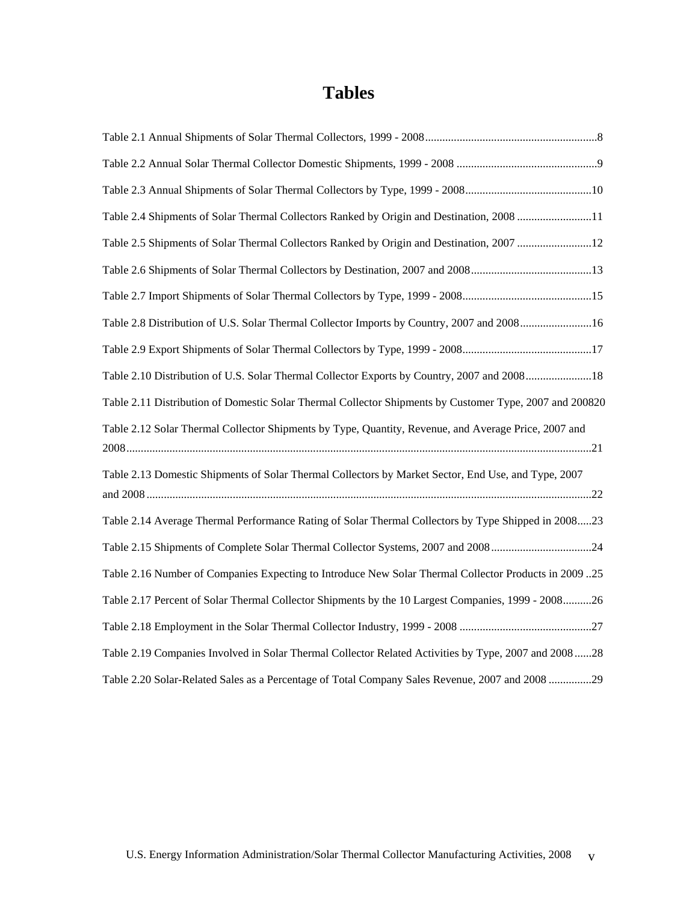# **Tables**

| Table 2.4 Shipments of Solar Thermal Collectors Ranked by Origin and Destination, 2008 11               |
|---------------------------------------------------------------------------------------------------------|
| Table 2.5 Shipments of Solar Thermal Collectors Ranked by Origin and Destination, 2007 12               |
|                                                                                                         |
|                                                                                                         |
| Table 2.8 Distribution of U.S. Solar Thermal Collector Imports by Country, 2007 and 200816              |
|                                                                                                         |
| Table 2.10 Distribution of U.S. Solar Thermal Collector Exports by Country, 2007 and 200818             |
| Table 2.11 Distribution of Domestic Solar Thermal Collector Shipments by Customer Type, 2007 and 200820 |
| Table 2.12 Solar Thermal Collector Shipments by Type, Quantity, Revenue, and Average Price, 2007 and    |
| Table 2.13 Domestic Shipments of Solar Thermal Collectors by Market Sector, End Use, and Type, 2007     |
| Table 2.14 Average Thermal Performance Rating of Solar Thermal Collectors by Type Shipped in 200823     |
| Table 2.15 Shipments of Complete Solar Thermal Collector Systems, 2007 and 200824                       |
| 75 Table 2.16 Number of Companies Expecting to Introduce New Solar Thermal Collector Products in 2009   |
| Table 2.17 Percent of Solar Thermal Collector Shipments by the 10 Largest Companies, 1999 - 200826      |
|                                                                                                         |
| Table 2.19 Companies Involved in Solar Thermal Collector Related Activities by Type, 2007 and 200828    |
| Table 2.20 Solar-Related Sales as a Percentage of Total Company Sales Revenue, 2007 and 2008 29         |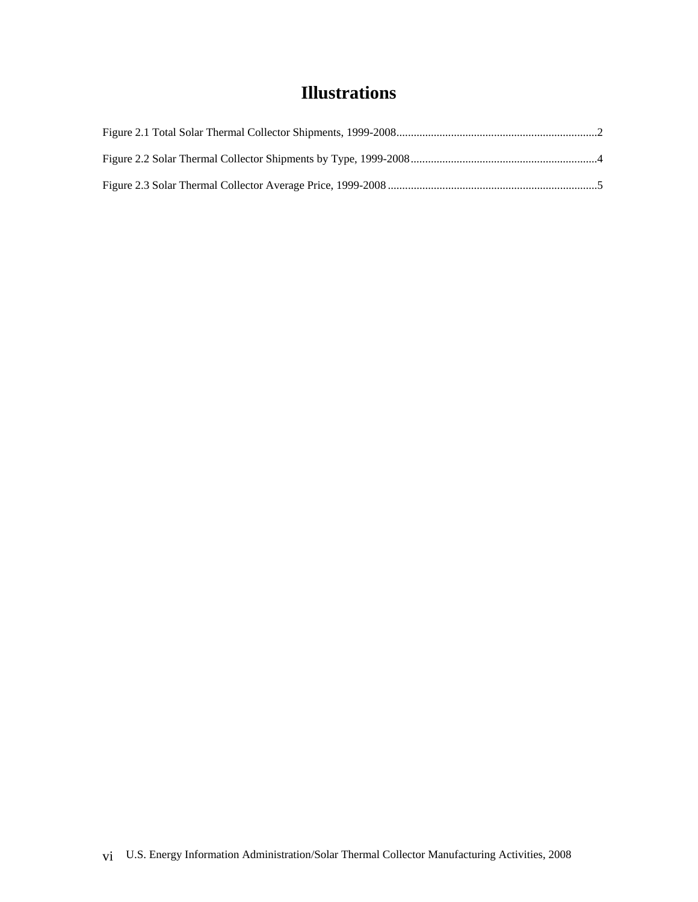# **Illustrations**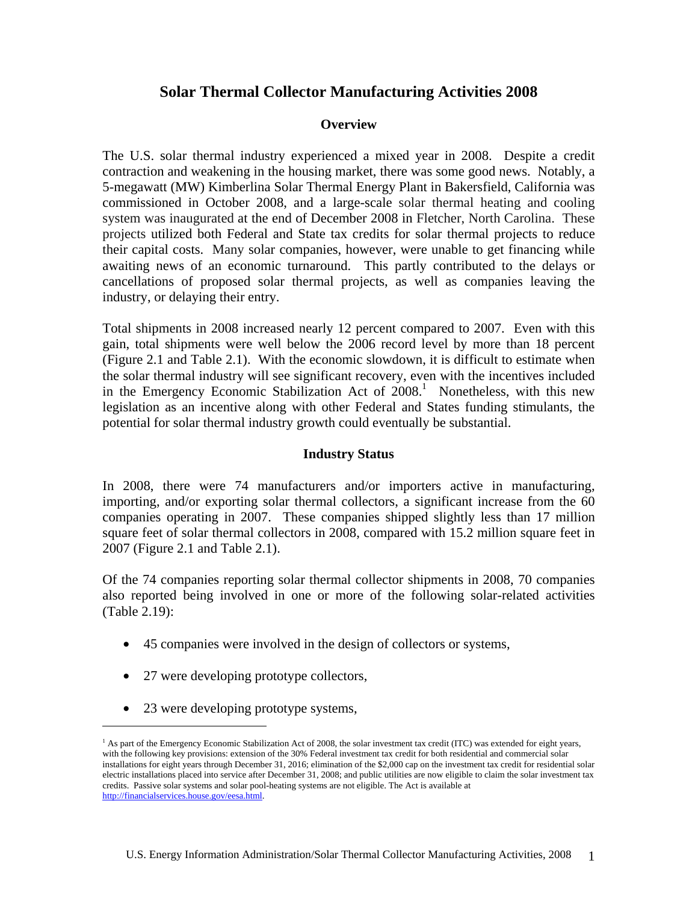# **Solar Thermal Collector Manufacturing Activities 2008**

# **Overview**

The U.S. solar thermal industry experienced a mixed year in 2008. Despite a credit contraction and weakening in the housing market, there was some good news. Notably, a 5-megawatt (MW) Kimberlina Solar Thermal Energy Plant in Bakersfield, California was commissioned in October 2008, and a large-scale solar thermal heating and cooling system was inaugurated at the end of December 2008 in Fletcher, North Carolina. These projects utilized both Federal and State tax credits for solar thermal projects to reduce their capital costs. Many solar companies, however, were unable to get financing while awaiting news of an economic turnaround. This partly contributed to the delays or cancellations of proposed solar thermal projects, as well as companies leaving the industry, or delaying their entry.

Total shipments in 2008 increased nearly 12 percent compared to 2007. Even with this gain, total shipments were well below the 2006 record level by more than 18 percent (Figure 2.1 and Table 2.1). With the economic slowdown, it is difficult to estimate when the solar thermal industry will see significant recovery, even with the incentives included in the Emergency Economic Stabilization Act of  $2008$ .<sup>1</sup> Nonetheless, with this new legislation as an incentive along with other Federal and States funding stimulants, the potential for solar thermal industry growth could eventually be substantial.

## **Industry Status**

In 2008, there were 74 manufacturers and/or importers active in manufacturing, importing, and/or exporting solar thermal collectors, a significant increase from the 60 companies operating in 2007. These companies shipped slightly less than 17 million square feet of solar thermal collectors in 2008, compared with 15.2 million square feet in 2007 (Figure 2.1 and Table 2.1).

Of the 74 companies reporting solar thermal collector shipments in 2008, 70 companies also reported being involved in one or more of the following solar-related activities (Table 2.19):

- 45 companies were involved in the design of collectors or systems,
- 27 were developing prototype collectors,
- 23 were developing prototype systems,

1

<sup>&</sup>lt;sup>1</sup> As part of the Emergency Economic Stabilization Act of 2008, the solar investment tax credit (ITC) was extended for eight years, with the following key provisions: extension of the 30% Federal investment tax credit for both residential and commercial solar installations for eight years through December 31, 2016; elimination of the \$2,000 cap on the investment tax credit for residential solar electric installations placed into service after December 31, 2008; and public utilities are now eligible to claim the solar investment tax credits. Passive solar systems and solar pool-heating systems are not eligible. The Act is available at http://financialservices.house.gov/eesa.html.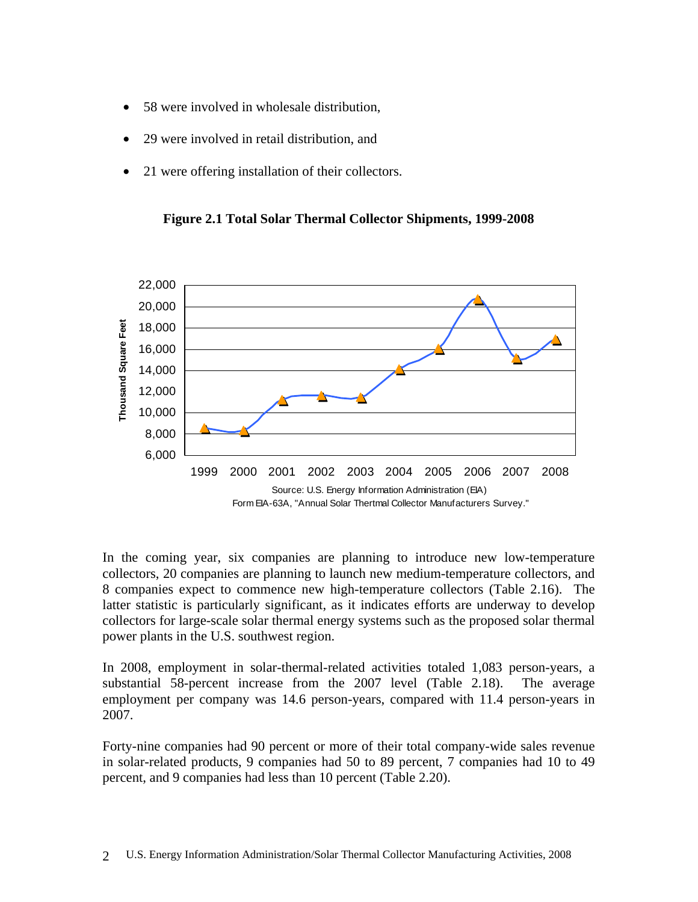- 58 were involved in wholesale distribution,
- 29 were involved in retail distribution, and
- 21 were offering installation of their collectors.

**Figure 2.1 Total Solar Thermal Collector Shipments, 1999-2008** 



In the coming year, six companies are planning to introduce new low-temperature collectors, 20 companies are planning to launch new medium-temperature collectors, and 8 companies expect to commence new high-temperature collectors (Table 2.16). The latter statistic is particularly significant, as it indicates efforts are underway to develop collectors for large-scale solar thermal energy systems such as the proposed solar thermal power plants in the U.S. southwest region.

In 2008, employment in solar-thermal-related activities totaled 1,083 person-years, a substantial 58-percent increase from the 2007 level (Table 2.18). The average employment per company was 14.6 person-years, compared with 11.4 person-years in 2007.

Forty-nine companies had 90 percent or more of their total company-wide sales revenue in solar-related products, 9 companies had 50 to 89 percent, 7 companies had 10 to 49 percent, and 9 companies had less than 10 percent (Table 2.20).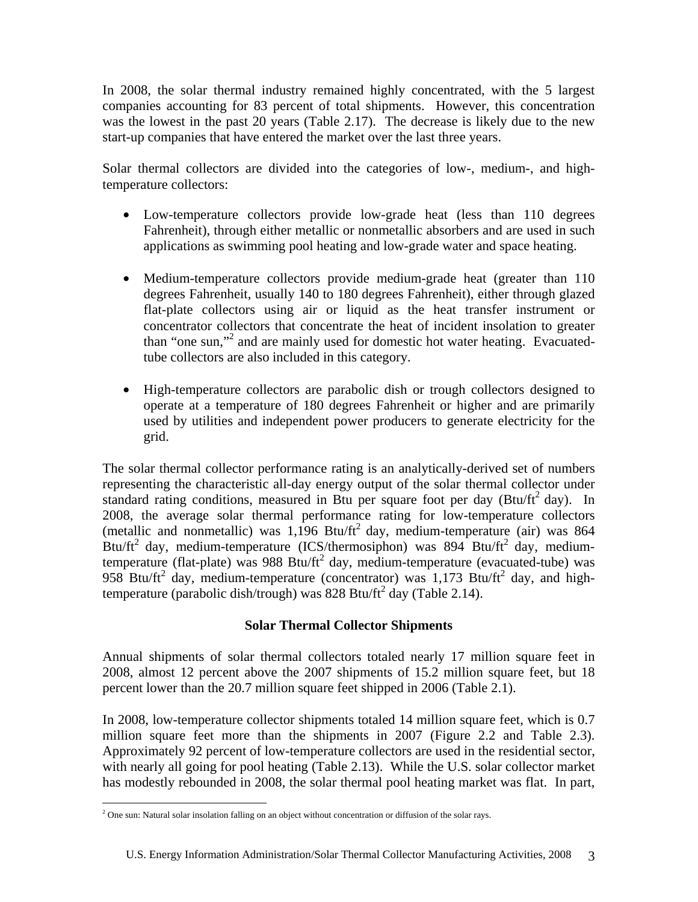In 2008, the solar thermal industry remained highly concentrated, with the 5 largest companies accounting for 83 percent of total shipments. However, this concentration was the lowest in the past 20 years (Table 2.17). The decrease is likely due to the new start-up companies that have entered the market over the last three years.

Solar thermal collectors are divided into the categories of low-, medium-, and hightemperature collectors:

- Low-temperature collectors provide low-grade heat (less than 110 degrees Fahrenheit), through either metallic or nonmetallic absorbers and are used in such applications as swimming pool heating and low-grade water and space heating.
- Medium-temperature collectors provide medium-grade heat (greater than 110) degrees Fahrenheit, usually 140 to 180 degrees Fahrenheit), either through glazed flat-plate collectors using air or liquid as the heat transfer instrument or concentrator collectors that concentrate the heat of incident insolation to greater than "one sun,"<sup>2</sup> and are mainly used for domestic hot water heating. Evacuatedtube collectors are also included in this category.
- High-temperature collectors are parabolic dish or trough collectors designed to operate at a temperature of 180 degrees Fahrenheit or higher and are primarily used by utilities and independent power producers to generate electricity for the grid.

The solar thermal collector performance rating is an analytically-derived set of numbers representing the characteristic all-day energy output of the solar thermal collector under standard rating conditions, measured in Btu per square foot per day (Btu/ $ft^2$  day). In 2008, the average solar thermal performance rating for low-temperature collectors (metallic and nonmetallic) was  $1,196$  Btu/ft<sup>2</sup> day, medium-temperature (air) was 864 Btu/ft<sup>2</sup> day, medium-temperature (ICS/thermosiphon) was 894 Btu/ft<sup>2</sup> day, mediumtemperature (flat-plate) was 988 Btu/ft<sup>2</sup> day, medium-temperature (evacuated-tube) was 958 Btu/ft<sup>2</sup> day, medium-temperature (concentrator) was 1,173 Btu/ft<sup>2</sup> day, and hightemperature (parabolic dish/trough) was  $828$  Btu/ft<sup>2</sup> day (Table 2.14).

# **Solar Thermal Collector Shipments**

Annual shipments of solar thermal collectors totaled nearly 17 million square feet in 2008, almost 12 percent above the 2007 shipments of 15.2 million square feet, but 18 percent lower than the 20.7 million square feet shipped in 2006 (Table 2.1).

In 2008, low-temperature collector shipments totaled 14 million square feet, which is 0.7 million square feet more than the shipments in 2007 (Figure 2.2 and Table 2.3). Approximately 92 percent of low-temperature collectors are used in the residential sector, with nearly all going for pool heating (Table 2.13). While the U.S. solar collector market has modestly rebounded in 2008, the solar thermal pool heating market was flat. In part,

 2 One sun: Natural solar insolation falling on an object without concentration or diffusion of the solar rays.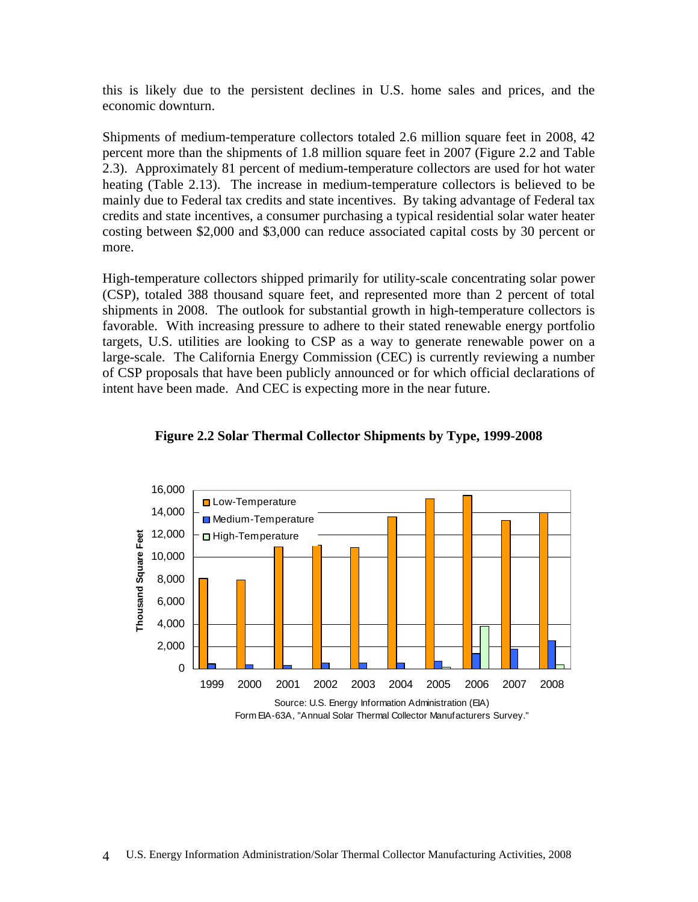this is likely due to the persistent declines in U.S. home sales and prices, and the economic downturn.

Shipments of medium-temperature collectors totaled 2.6 million square feet in 2008, 42 percent more than the shipments of 1.8 million square feet in 2007 (Figure 2.2 and Table 2.3). Approximately 81 percent of medium-temperature collectors are used for hot water heating (Table 2.13). The increase in medium-temperature collectors is believed to be mainly due to Federal tax credits and state incentives. By taking advantage of Federal tax credits and state incentives, a consumer purchasing a typical residential solar water heater costing between \$2,000 and \$3,000 can reduce associated capital costs by 30 percent or more.

High-temperature collectors shipped primarily for utility-scale concentrating solar power (CSP), totaled 388 thousand square feet, and represented more than 2 percent of total shipments in 2008. The outlook for substantial growth in high-temperature collectors is favorable. With increasing pressure to adhere to their stated renewable energy portfolio targets, U.S. utilities are looking to CSP as a way to generate renewable power on a large-scale. The California Energy Commission (CEC) is currently reviewing a number of CSP proposals that have been publicly announced or for which official declarations of intent have been made. And CEC is expecting more in the near future.



**Figure 2.2 Solar Thermal Collector Shipments by Type, 1999-2008** 

Form EIA-63A, "Annual Solar Thermal Collector Manufacturers Survey."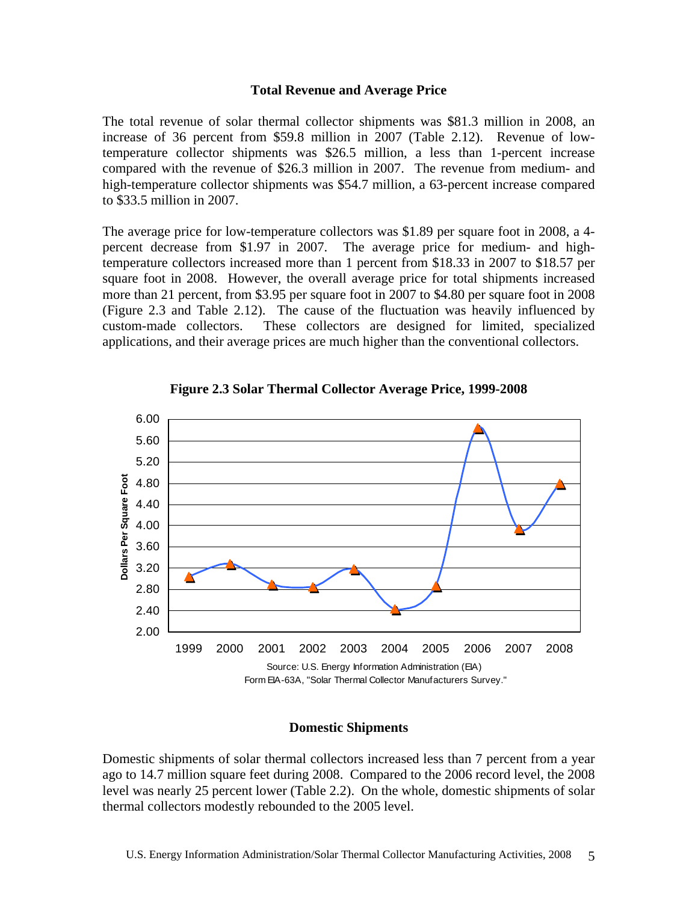### **Total Revenue and Average Price**

The total revenue of solar thermal collector shipments was \$81.3 million in 2008, an increase of 36 percent from \$59.8 million in 2007 (Table 2.12). Revenue of lowtemperature collector shipments was \$26.5 million, a less than 1-percent increase compared with the revenue of \$26.3 million in 2007. The revenue from medium- and high-temperature collector shipments was \$54.7 million, a 63-percent increase compared to \$33.5 million in 2007.

The average price for low-temperature collectors was \$1.89 per square foot in 2008, a 4 percent decrease from \$1.97 in 2007. The average price for medium- and hightemperature collectors increased more than 1 percent from \$18.33 in 2007 to \$18.57 per square foot in 2008. However, the overall average price for total shipments increased more than 21 percent, from \$3.95 per square foot in 2007 to \$4.80 per square foot in 2008 (Figure 2.3 and Table 2.12). The cause of the fluctuation was heavily influenced by custom-made collectors. These collectors are designed for limited, specialized applications, and their average prices are much higher than the conventional collectors.



**Figure 2.3 Solar Thermal Collector Average Price, 1999-2008** 

## **Domestic Shipments**

Domestic shipments of solar thermal collectors increased less than 7 percent from a year ago to 14.7 million square feet during 2008. Compared to the 2006 record level, the 2008 level was nearly 25 percent lower (Table 2.2). On the whole, domestic shipments of solar thermal collectors modestly rebounded to the 2005 level.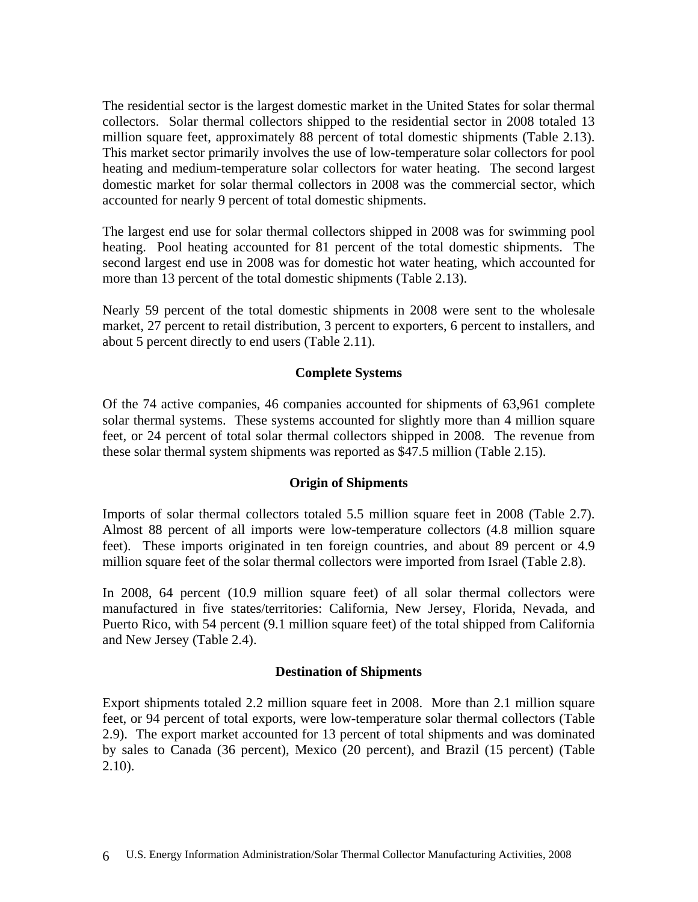The residential sector is the largest domestic market in the United States for solar thermal collectors. Solar thermal collectors shipped to the residential sector in 2008 totaled 13 million square feet, approximately 88 percent of total domestic shipments (Table 2.13). This market sector primarily involves the use of low-temperature solar collectors for pool heating and medium-temperature solar collectors for water heating. The second largest domestic market for solar thermal collectors in 2008 was the commercial sector, which accounted for nearly 9 percent of total domestic shipments.

The largest end use for solar thermal collectors shipped in 2008 was for swimming pool heating. Pool heating accounted for 81 percent of the total domestic shipments. The second largest end use in 2008 was for domestic hot water heating, which accounted for more than 13 percent of the total domestic shipments (Table 2.13).

Nearly 59 percent of the total domestic shipments in 2008 were sent to the wholesale market, 27 percent to retail distribution, 3 percent to exporters, 6 percent to installers, and about 5 percent directly to end users (Table 2.11).

# **Complete Systems**

Of the 74 active companies, 46 companies accounted for shipments of 63,961 complete solar thermal systems. These systems accounted for slightly more than 4 million square feet, or 24 percent of total solar thermal collectors shipped in 2008. The revenue from these solar thermal system shipments was reported as \$47.5 million (Table 2.15).

## **Origin of Shipments**

Imports of solar thermal collectors totaled 5.5 million square feet in 2008 (Table 2.7). Almost 88 percent of all imports were low-temperature collectors (4.8 million square feet). These imports originated in ten foreign countries, and about 89 percent or 4.9 million square feet of the solar thermal collectors were imported from Israel (Table 2.8).

In 2008, 64 percent (10.9 million square feet) of all solar thermal collectors were manufactured in five states/territories: California, New Jersey, Florida, Nevada, and Puerto Rico, with 54 percent (9.1 million square feet) of the total shipped from California and New Jersey (Table 2.4).

## **Destination of Shipments**

Export shipments totaled 2.2 million square feet in 2008. More than 2.1 million square feet, or 94 percent of total exports, were low-temperature solar thermal collectors (Table 2.9). The export market accounted for 13 percent of total shipments and was dominated by sales to Canada (36 percent), Mexico (20 percent), and Brazil (15 percent) (Table 2.10).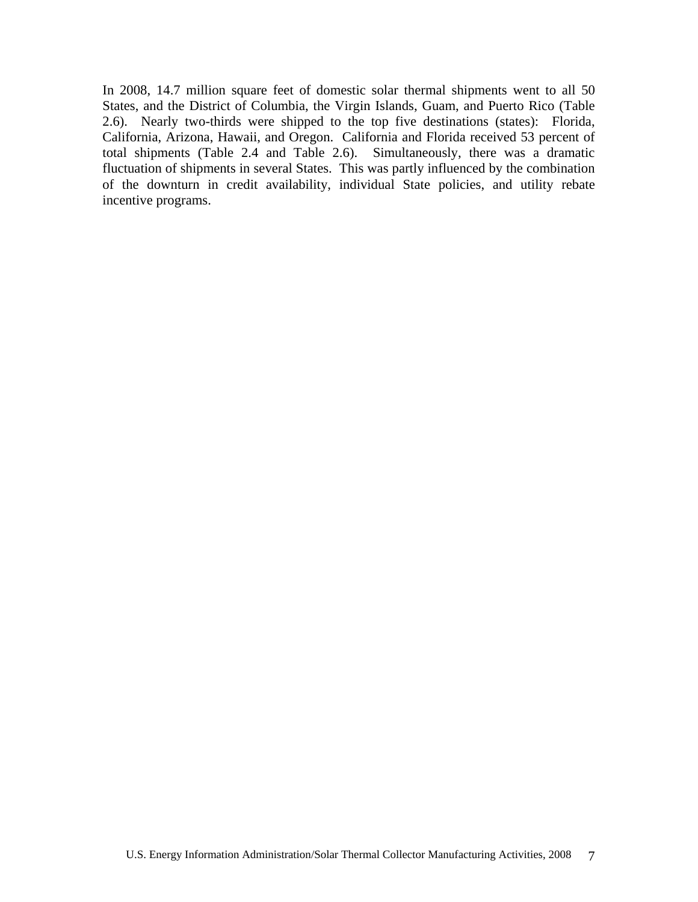In 2008, 14.7 million square feet of domestic solar thermal shipments went to all 50 States, and the District of Columbia, the Virgin Islands, Guam, and Puerto Rico (Table 2.6). Nearly two-thirds were shipped to the top five destinations (states): Florida, California, Arizona, Hawaii, and Oregon. California and Florida received 53 percent of total shipments (Table 2.4 and Table 2.6). Simultaneously, there was a dramatic fluctuation of shipments in several States. This was partly influenced by the combination of the downturn in credit availability, individual State policies, and utility rebate incentive programs.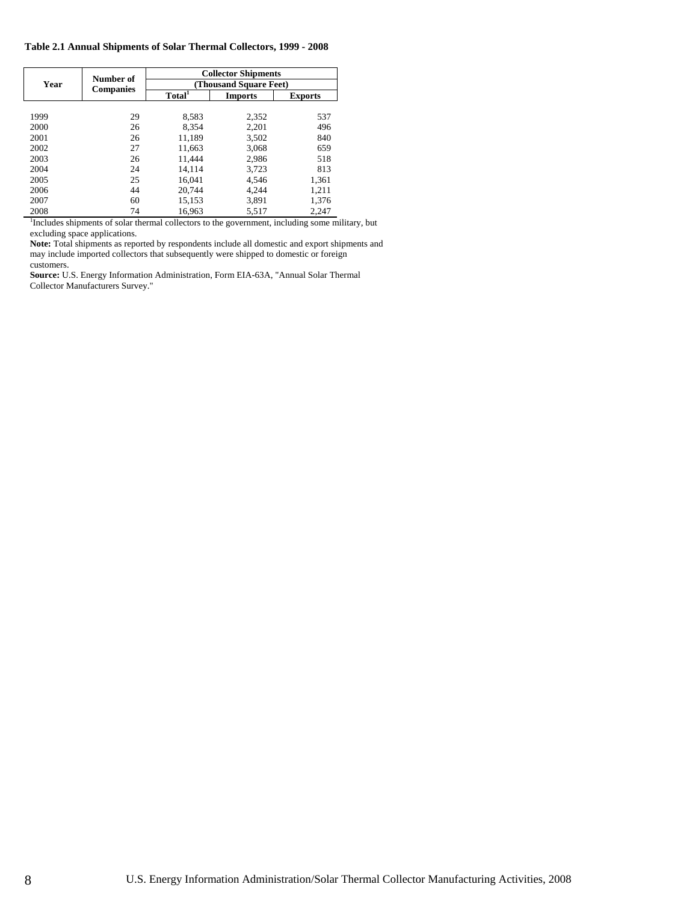|      | Number of        | <b>Collector Shipments</b> |                |                |  |
|------|------------------|----------------------------|----------------|----------------|--|
| Year |                  | (Thousand Square Feet)     |                |                |  |
|      | <b>Companies</b> | Total <sup>1</sup>         | <b>Imports</b> | <b>Exports</b> |  |
|      |                  |                            |                |                |  |
| 1999 | 29               | 8,583                      | 2,352          | 537            |  |
| 2000 | 26               | 8,354                      | 2,201          | 496            |  |
| 2001 | 26               | 11.189                     | 3,502          | 840            |  |
| 2002 | 27               | 11.663                     | 3.068          | 659            |  |
| 2003 | 26               | 11,444                     | 2,986          | 518            |  |
| 2004 | 24               | 14.114                     | 3,723          | 813            |  |
| 2005 | 25               | 16.041                     | 4,546          | 1,361          |  |
| 2006 | 44               | 20.744                     | 4.244          | 1,211          |  |
| 2007 | 60               | 15,153                     | 3,891          | 1,376          |  |
| 2008 | 74               | 16,963                     | 5,517          | 2,247          |  |

<sup>1</sup>Includes shipments of solar thermal collectors to the government, including some military, but excluding space applications.

**Note:** Total shipments as reported by respondents include all domestic and export shipments and may include imported collectors that subsequently were shipped to domestic or foreign customers.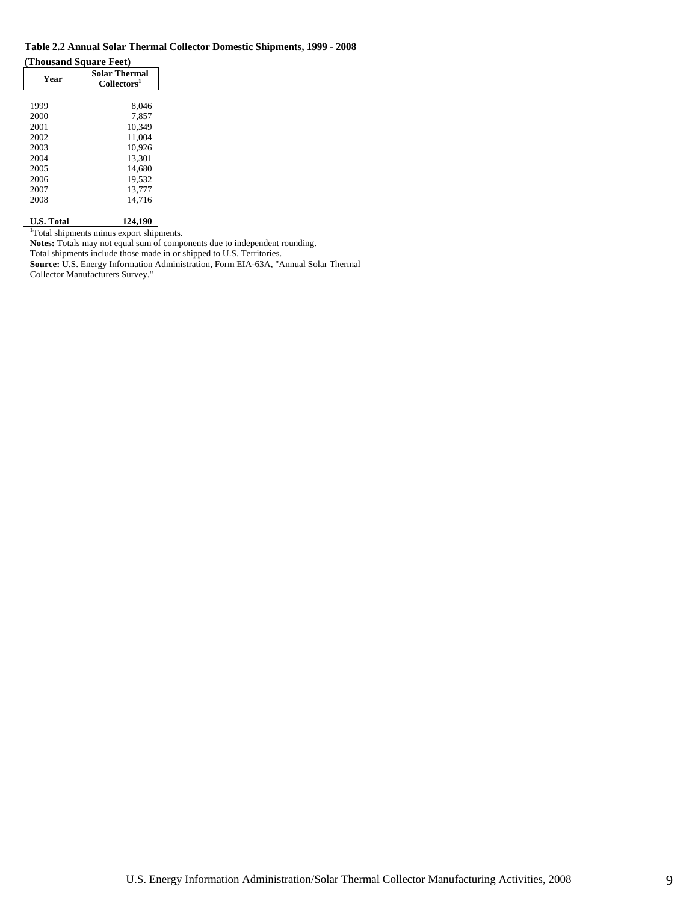### **Table 2.2 Annual Solar Thermal Collector Domestic Shipments, 1999 - 2008**

**(Thousand Square Feet)** 

| <b>Year</b> | <b>Solar Thermal</b><br>Collectors <sup>1</sup> |
|-------------|-------------------------------------------------|
|             |                                                 |
| 1999        | 8,046                                           |
| 2000        | 7.857                                           |
| 2001        | 10.349                                          |
| 2002        | 11.004                                          |
| 2003        | 10.926                                          |
| 2004        | 13.301                                          |
| 2005        | 14.680                                          |
| 2006        | 19.532                                          |
| 2007        | 13.777                                          |
| 2008        | 14.716                                          |
|             |                                                 |

**U.S. Total 124,190**  1 Total shipments minus export shipments.

**Notes:** Totals may not equal sum of components due to independent rounding.

Total shipments include those made in or shipped to U.S. Territories.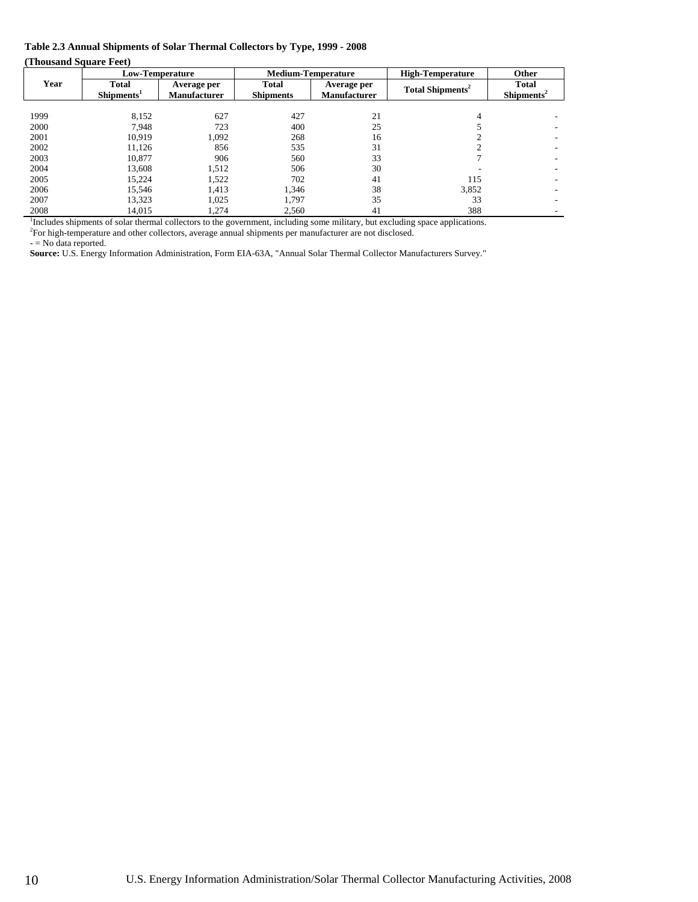### **Table 2.3 Annual Shipments of Solar Thermal Collectors by Type, 1999 - 2008**

**(Thousand Square Feet)** 

|      | Low-Temperature                                                                                                      | <b>Medium-Temperature</b><br><b>High-Temperature</b> |                                  |                                    |                                                                                                                              | Other                                  |
|------|----------------------------------------------------------------------------------------------------------------------|------------------------------------------------------|----------------------------------|------------------------------------|------------------------------------------------------------------------------------------------------------------------------|----------------------------------------|
| Year | <b>Total</b><br>Shipments <sup>1</sup>                                                                               | Average per<br><b>Manufacturer</b>                   | <b>Total</b><br><b>Shipments</b> | Average per<br><b>Manufacturer</b> | Total Shipments <sup>2</sup>                                                                                                 | <b>Total</b><br>Shipments <sup>2</sup> |
|      |                                                                                                                      |                                                      |                                  |                                    |                                                                                                                              |                                        |
| 1999 | 8,152                                                                                                                | 627                                                  | 427                              | 21                                 |                                                                                                                              |                                        |
| 2000 | 7.948                                                                                                                | 723                                                  | 400                              | 25                                 |                                                                                                                              |                                        |
| 2001 | 10.919                                                                                                               | 1,092                                                | 268                              | 16                                 |                                                                                                                              |                                        |
| 2002 | 11,126                                                                                                               | 856                                                  | 535                              | 31                                 |                                                                                                                              |                                        |
| 2003 | 10.877                                                                                                               | 906                                                  | 560                              | 33                                 |                                                                                                                              |                                        |
| 2004 | 13.608                                                                                                               | 1,512                                                | 506                              | 30                                 |                                                                                                                              |                                        |
| 2005 | 15.224                                                                                                               | 1,522                                                | 702                              | 41                                 | 115                                                                                                                          |                                        |
| 2006 | 15.546                                                                                                               | 1,413                                                | 1,346                            | 38                                 | 3,852                                                                                                                        |                                        |
| 2007 | 13.323                                                                                                               | 1.025                                                | 1.797                            | 35                                 | 33                                                                                                                           |                                        |
| 2008 | 14.015                                                                                                               | 1.274                                                | 2.560                            | 41                                 | 388                                                                                                                          |                                        |
|      | <sup>2</sup> For high-temperature and other collectors, average annual shipments per manufacturer are not disclosed. |                                                      |                                  |                                    | Includes shipments of solar thermal collectors to the government, including some military, but excluding space applications. |                                        |

 $-$  = No data reported.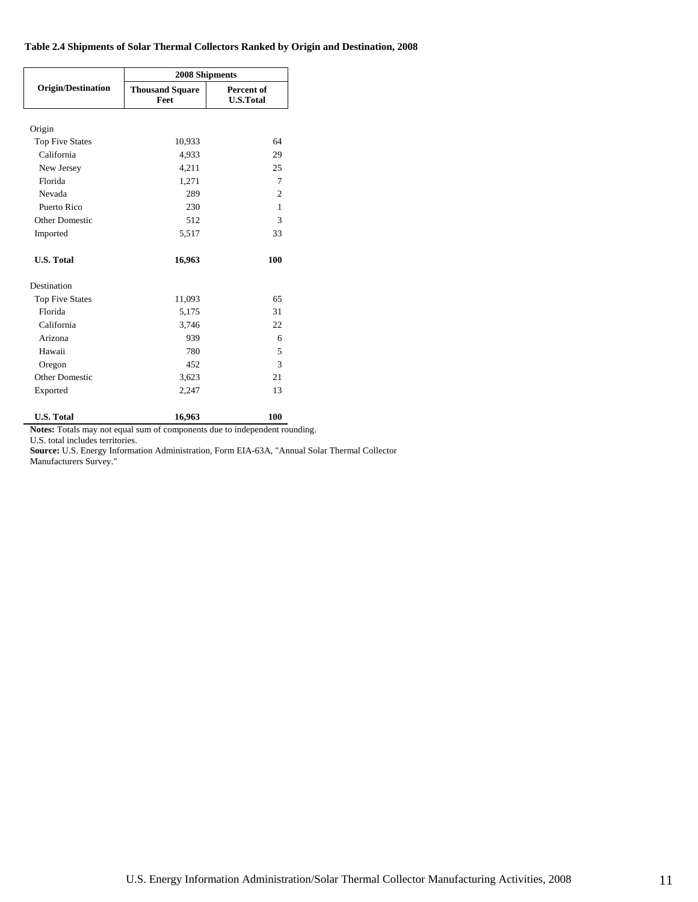### **Table 2.4 Shipments of Solar Thermal Collectors Ranked by Origin and Destination, 2008**

|                           | 2008 Shipments                 |                                |  |  |
|---------------------------|--------------------------------|--------------------------------|--|--|
| <b>Origin/Destination</b> | <b>Thousand Square</b><br>Feet | Percent of<br><b>U.S.Total</b> |  |  |
| Origin                    |                                |                                |  |  |
| <b>Top Five States</b>    | 10,933                         | 64                             |  |  |
| California                | 4,933                          | 29                             |  |  |
| New Jersey                | 4,211                          | 25                             |  |  |
| Florida                   | 1,271                          | 7                              |  |  |
| Nevada                    | 289                            | $\overline{c}$                 |  |  |
| Puerto Rico               | 230                            | 1                              |  |  |
| Other Domestic            | 512                            | 3                              |  |  |
| Imported                  | 5,517                          | 33                             |  |  |
| <b>U.S. Total</b>         | 16,963                         | 100                            |  |  |
| Destination               |                                |                                |  |  |
| <b>Top Five States</b>    | 11,093                         | 65                             |  |  |
| Florida                   | 5,175                          | 31                             |  |  |
| California                | 3,746                          | 22                             |  |  |
| Arizona                   | 939                            | 6                              |  |  |
| Hawaii                    | 780                            | 5                              |  |  |
| Oregon                    | 452                            | 3                              |  |  |
| Other Domestic            | 3,623                          | 21                             |  |  |
| Exported                  | 2,247                          | 13                             |  |  |
| <b>U.S. Total</b>         | 16,963                         | 100                            |  |  |

**Notes:** Totals may not equal sum of components due to independent rounding.

U.S. total includes territories.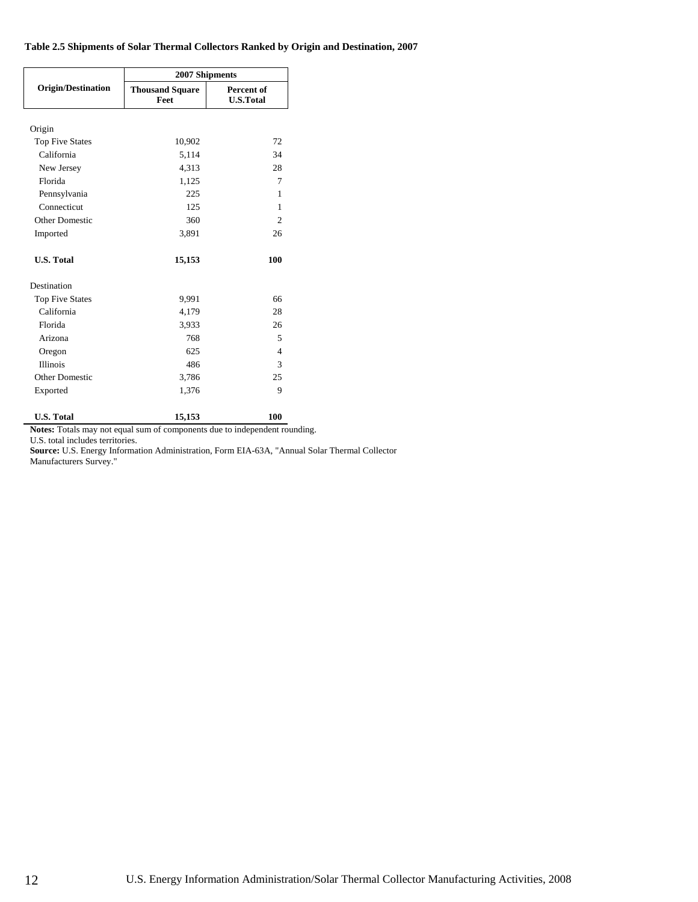### **Table 2.5 Shipments of Solar Thermal Collectors Ranked by Origin and Destination, 2007**

|                           | 2007 Shipments                 |                                |  |  |
|---------------------------|--------------------------------|--------------------------------|--|--|
| <b>Origin/Destination</b> | <b>Thousand Square</b><br>Feet | Percent of<br><b>U.S.Total</b> |  |  |
| Origin                    |                                |                                |  |  |
| <b>Top Five States</b>    | 10,902                         | 72                             |  |  |
| California                | 5,114                          | 34                             |  |  |
| New Jersey                | 4,313                          | 28                             |  |  |
| Florida                   | 1,125                          | 7                              |  |  |
| Pennsylvania              | 225                            | 1                              |  |  |
| Connecticut               | 125                            | 1                              |  |  |
| Other Domestic            | 360                            | $\overline{2}$                 |  |  |
| Imported                  | 3,891                          | 26                             |  |  |
| <b>U.S. Total</b>         | 15,153                         | 100                            |  |  |
| Destination               |                                |                                |  |  |
| <b>Top Five States</b>    | 9,991                          | 66                             |  |  |
| California                | 4,179                          | 28                             |  |  |
| Florida                   | 3,933                          | 26                             |  |  |
| Arizona                   | 768                            | 5                              |  |  |
| Oregon                    | 625                            | $\overline{\mathcal{A}}$       |  |  |
| <b>Illinois</b>           | 486                            | 3                              |  |  |
| Other Domestic            | 3,786                          | 25                             |  |  |
| Exported                  | 1,376                          | 9                              |  |  |
| <b>U.S. Total</b>         | 15,153                         | 100                            |  |  |

**Notes:** Totals may not equal sum of components due to independent rounding.

U.S. total includes territories.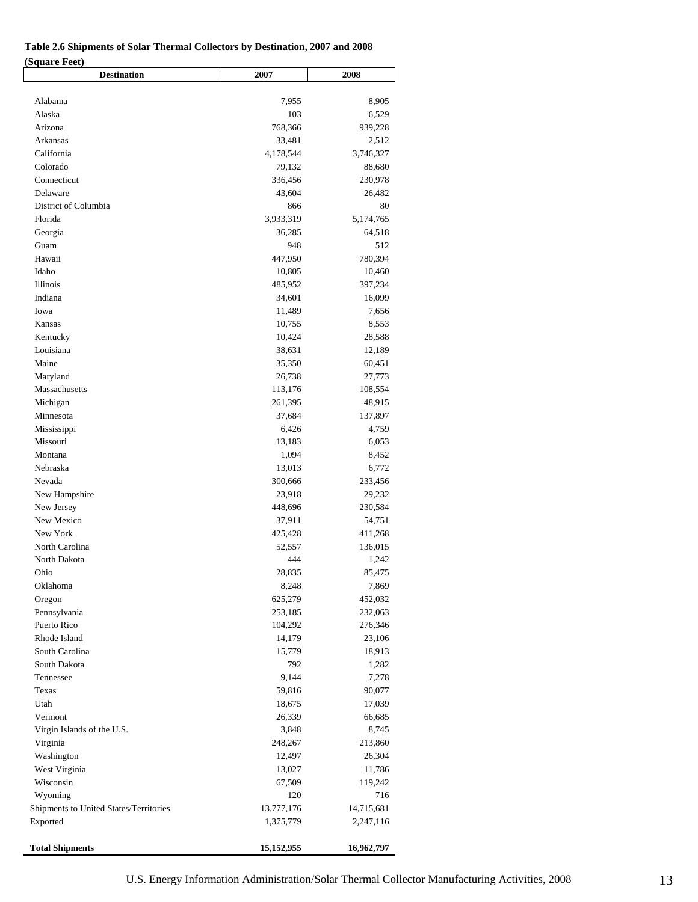# **Table 2.6 Shipments of Solar Thermal Collectors by Destination, 2007 and 2008**

| (Square Feet) |  |
|---------------|--|
|---------------|--|

| (Square reet)<br><b>Destination</b>    | 2007       | 2008       |
|----------------------------------------|------------|------------|
|                                        |            |            |
| Alabama                                | 7,955      | 8,905      |
| Alaska                                 | 103        | 6,529      |
| Arizona                                | 768,366    | 939,228    |
| Arkansas                               | 33,481     | 2,512      |
| California                             | 4,178,544  | 3,746,327  |
| Colorado                               | 79,132     | 88,680     |
| Connecticut                            | 336,456    | 230,978    |
| Delaware                               | 43,604     | 26,482     |
| District of Columbia                   | 866        | 80         |
| Florida                                | 3,933,319  | 5,174,765  |
| Georgia                                | 36,285     | 64,518     |
| Guam                                   | 948        | 512        |
| Hawaii                                 | 447,950    | 780,394    |
| Idaho                                  | 10,805     | 10,460     |
| Illinois                               | 485,952    | 397,234    |
| Indiana                                | 34,601     | 16,099     |
| Iowa                                   | 11,489     | 7,656      |
| Kansas                                 | 10,755     | 8,553      |
| Kentucky                               | 10,424     | 28,588     |
| Louisiana                              | 38,631     | 12,189     |
| Maine                                  | 35,350     | 60,451     |
| Maryland                               | 26,738     | 27,773     |
| Massachusetts                          | 113,176    | 108,554    |
| Michigan                               | 261,395    | 48,915     |
| Minnesota                              | 37,684     | 137,897    |
| Mississippi                            | 6,426      | 4,759      |
| Missouri                               | 13,183     | 6,053      |
| Montana                                | 1,094      | 8,452      |
| Nebraska                               | 13,013     | 6,772      |
| Nevada                                 | 300,666    | 233,456    |
| New Hampshire                          | 23,918     | 29,232     |
| New Jersey                             | 448,696    | 230,584    |
| New Mexico                             | 37,911     | 54,751     |
| New York                               | 425,428    | 411,268    |
| North Carolina                         | 52,557     | 136,015    |
| North Dakota                           | 444        | 1,242      |
| Ohio                                   | 28,835     | 85,475     |
| Oklahoma                               | 8,248      | 7,869      |
| Oregon                                 | 625,279    | 452,032    |
| Pennsylvania                           | 253,185    | 232,063    |
| Puerto Rico                            | 104,292    | 276,346    |
| Rhode Island                           | 14,179     | 23,106     |
| South Carolina                         | 15,779     | 18,913     |
| South Dakota                           | 792        | 1,282      |
| Tennessee                              | 9,144      | 7,278      |
| Texas                                  | 59,816     | 90,077     |
| Utah                                   | 18,675     | 17,039     |
| Vermont                                | 26,339     | 66,685     |
| Virgin Islands of the U.S.             | 3,848      | 8,745      |
| Virginia                               | 248,267    | 213,860    |
| Washington                             | 12,497     | 26,304     |
| West Virginia                          | 13,027     | 11,786     |
| Wisconsin                              | 67,509     | 119,242    |
| Wyoming                                | 120        | 716        |
| Shipments to United States/Territories | 13,777,176 | 14,715,681 |
| Exported                               | 1,375,779  | 2,247,116  |
| <b>Total Shipments</b>                 | 15,152,955 | 16,962,797 |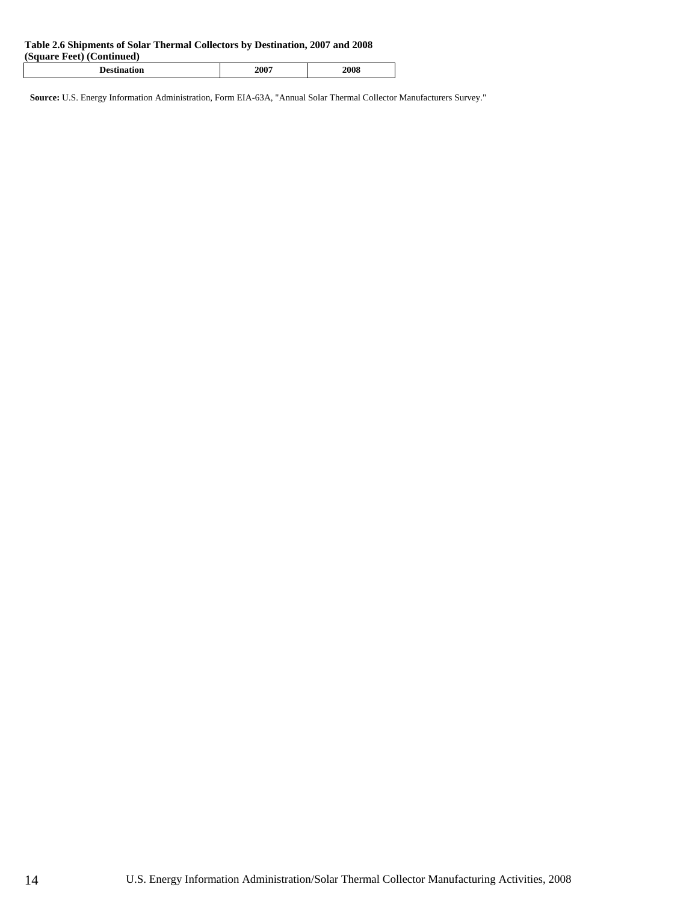#### **Table 2.6 Shipments of Solar Thermal Collectors by Destination, 2007 and 2008**

| (Square Feet) (Continued) |      |      |
|---------------------------|------|------|
| <b>Destination</b>        | 2007 | 2008 |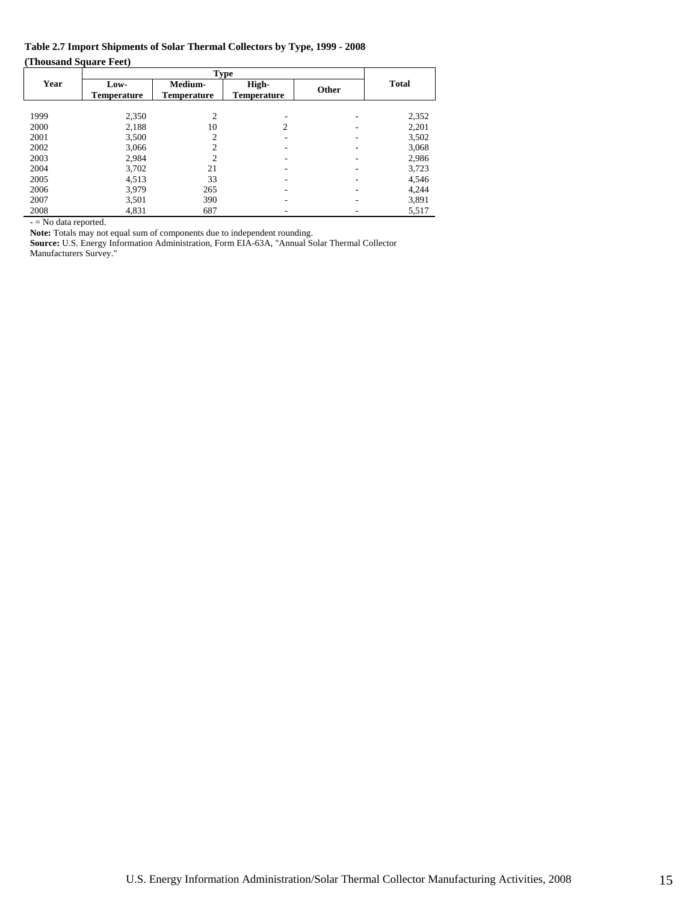### **Table 2.7 Import Shipments of Solar Thermal Collectors by Type, 1999 - 2008 (Thousand Square Feet)**

|      | <b>Type</b>                |                        |                             |       |              |
|------|----------------------------|------------------------|-----------------------------|-------|--------------|
| Year | Low-<br><b>Temperature</b> | Medium-<br>Temperature | High-<br><b>Temperature</b> | Other | <b>Total</b> |
|      |                            |                        |                             |       |              |
| 1999 | 2,350                      | $\overline{2}$         |                             |       | 2,352        |
| 2000 | 2,188                      | 10                     | 2                           |       | 2,201        |
| 2001 | 3,500                      | $\mathcal{D}$          |                             |       | 3,502        |
| 2002 | 3,066                      | $\overline{c}$         |                             |       | 3,068        |
| 2003 | 2,984                      | $\overline{2}$         |                             |       | 2,986        |
| 2004 | 3,702                      | 21                     |                             |       | 3,723        |
| 2005 | 4,513                      | 33                     |                             |       | 4,546        |
| 2006 | 3,979                      | 265                    |                             |       | 4,244        |
| 2007 | 3,501                      | 390                    |                             |       | 3,891        |
| 2008 | 4,831                      | 687                    |                             |       | 5,517        |

- = No data reported.

Note: Totals may not equal sum of components due to independent rounding.

**Source:** U.S. Energy Information Administration, Form EIA-63A, "Annual Solar Thermal Collector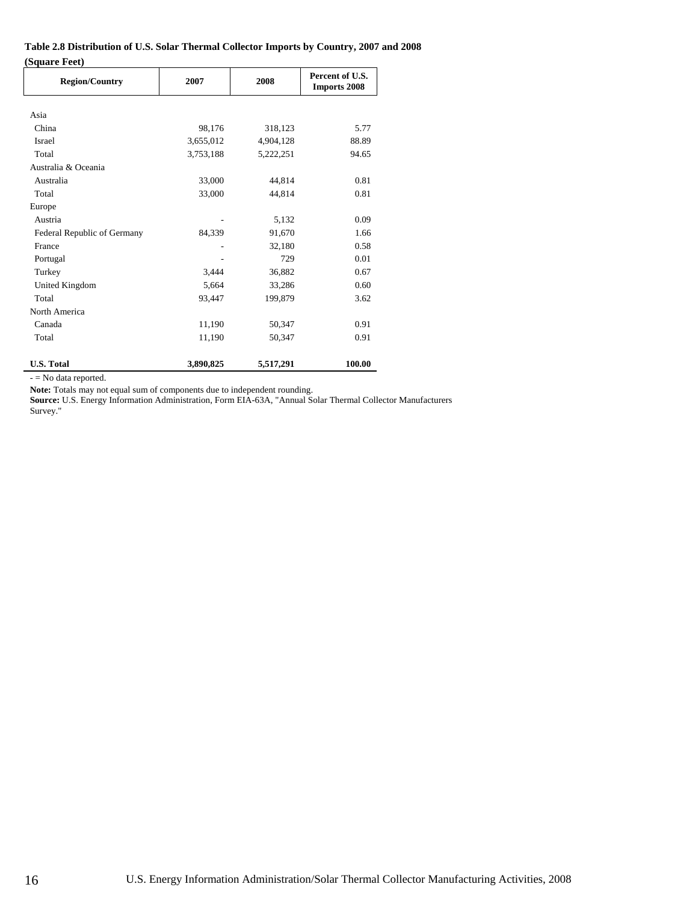### **Table 2.8 Distribution of U.S. Solar Thermal Collector Imports by Country, 2007 and 2008 (Square Feet)**

| <b>Region/Country</b>       | 2007<br>2008 |           | Percent of U.S.<br><b>Imports 2008</b> |
|-----------------------------|--------------|-----------|----------------------------------------|
| Asia                        |              |           |                                        |
| China                       | 98,176       | 318,123   | 5.77                                   |
| Israel                      | 3,655,012    | 4,904,128 | 88.89                                  |
| Total                       | 3,753,188    | 5,222,251 | 94.65                                  |
| Australia & Oceania         |              |           |                                        |
| Australia                   | 33,000       | 44.814    | 0.81                                   |
| Total                       | 33,000       | 44,814    | 0.81                                   |
| Europe                      |              |           |                                        |
| Austria                     |              | 5,132     | 0.09                                   |
| Federal Republic of Germany | 84,339       | 91,670    | 1.66                                   |
| France                      |              | 32,180    | 0.58                                   |
| Portugal                    |              | 729       | 0.01                                   |
| Turkey                      | 3.444        | 36,882    | 0.67                                   |
| United Kingdom              | 5,664        | 33,286    | 0.60                                   |
| Total                       | 93,447       | 199,879   | 3.62                                   |
| North America               |              |           |                                        |
| Canada                      | 11,190       | 50,347    | 0.91                                   |
| Total                       | 11,190       | 50,347    | 0.91                                   |
| <b>U.S. Total</b>           | 3,890,825    | 5,517,291 | 100.00                                 |

- = No data reported.

**Note:** Totals may not equal sum of components due to independent rounding.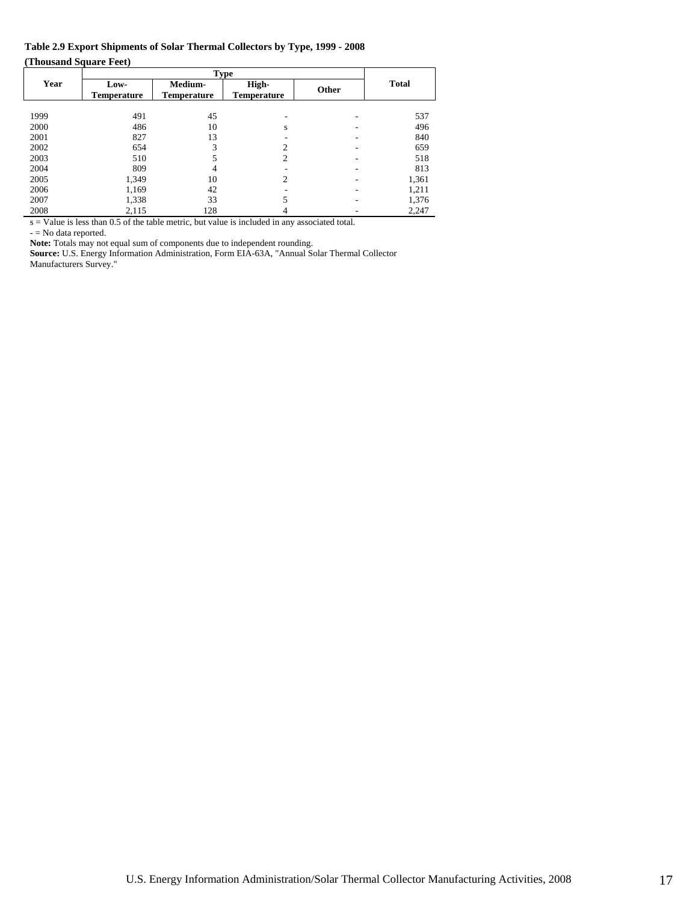### **Table 2.9 Export Shipments of Solar Thermal Collectors by Type, 1999 - 2008 (Thousand Square Feet)**

|      | $\sim$ $\sim$ $\sim$ $\sim$ | Type               |                    |       |              |  |  |  |
|------|-----------------------------|--------------------|--------------------|-------|--------------|--|--|--|
| Year | Low-                        | Medium-            | High-              | Other | <b>Total</b> |  |  |  |
|      | <b>Temperature</b>          | <b>Temperature</b> | <b>Temperature</b> |       |              |  |  |  |
|      |                             |                    |                    |       |              |  |  |  |
| 1999 | 491                         | 45                 |                    |       | 537          |  |  |  |
| 2000 | 486                         | 10                 | s                  |       | 496          |  |  |  |
| 2001 | 827                         | 13                 |                    |       | 840          |  |  |  |
| 2002 | 654                         | 3                  | ↑                  |       | 659          |  |  |  |
| 2003 | 510                         |                    | 2                  |       | 518          |  |  |  |
| 2004 | 809                         | 4                  |                    |       | 813          |  |  |  |
| 2005 | 1,349                       | 10                 | 2                  |       | 1,361        |  |  |  |
| 2006 | 1,169                       | 42                 |                    |       | 1,211        |  |  |  |
| 2007 | 1,338                       | 33                 |                    |       | 1,376        |  |  |  |
| 2008 | 2,115                       | 128                |                    |       | 2,247        |  |  |  |

s = Value is less than 0.5 of the table metric, but value is included in any associated total.

- = No data reported.

Note: Totals may not equal sum of components due to independent rounding.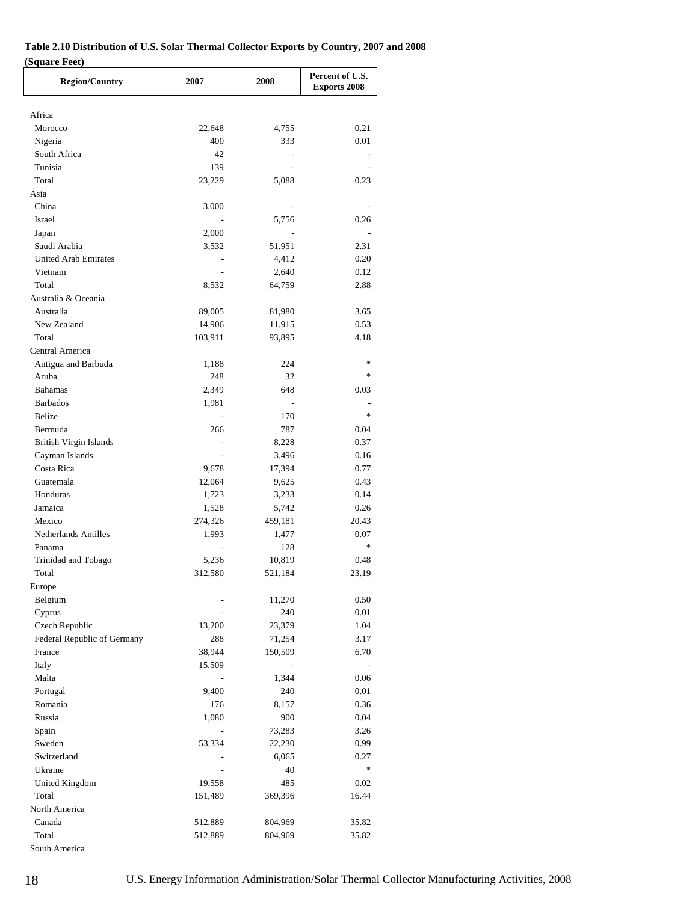### **Table 2.10 Distribution of U.S. Solar Thermal Collector Exports by Country, 2007 and 2008 (Square Feet)**

| <b>Region/Country</b>            | 2007           | 2008                     | Percent of U.S.<br><b>Exports 2008</b> |
|----------------------------------|----------------|--------------------------|----------------------------------------|
|                                  |                |                          |                                        |
| Africa                           |                |                          |                                        |
| Morocco                          | 22,648         | 4,755                    | 0.21                                   |
| Nigeria                          | 400            | 333                      | 0.01                                   |
| South Africa                     | 42             |                          |                                        |
| Tunisia                          | 139            |                          |                                        |
| Total                            | 23,229         | 5,088                    | 0.23                                   |
| Asia                             |                |                          |                                        |
| China<br><b>Israel</b>           | 3,000          |                          |                                        |
|                                  |                | 5,756<br>$\sim$          | 0.26<br>$\overline{\phantom{a}}$       |
| Japan                            | 2,000          |                          |                                        |
| Saudi Arabia                     | 3,532          | 51,951                   | 2.31                                   |
| <b>United Arab Emirates</b>      | $\overline{a}$ | 4,412                    | 0.20                                   |
| Vietnam                          |                | 2,640                    | 0.12                                   |
| Total                            | 8,532          | 64,759                   | 2.88                                   |
| Australia & Oceania<br>Australia |                |                          |                                        |
|                                  | 89,005         | 81,980                   | 3.65                                   |
| New Zealand                      | 14,906         | 11,915                   | 0.53                                   |
| Total                            | 103,911        | 93,895                   | 4.18                                   |
| Central America                  |                |                          | $\ast$                                 |
| Antigua and Barbuda              | 1,188          | 224                      | $\ast$                                 |
| Aruba                            | 248            | 32                       |                                        |
| <b>Bahamas</b>                   | 2,349          | 648                      | 0.03                                   |
| <b>Barbados</b>                  | 1,981          | $\overline{\phantom{a}}$ | $\ast$                                 |
| Belize                           |                | 170                      |                                        |
| Bermuda                          | 266            | 787                      | 0.04                                   |
| British Virgin Islands           |                | 8,228                    | 0.37                                   |
| Cayman Islands                   |                | 3,496                    | 0.16                                   |
| Costa Rica                       | 9,678          | 17,394                   | 0.77                                   |
| Guatemala                        | 12,064         | 9,625                    | 0.43                                   |
| Honduras                         | 1,723          | 3,233                    | 0.14                                   |
| Jamaica                          | 1,528          | 5,742                    | 0.26                                   |
| Mexico                           | 274,326        | 459,181                  | 20.43                                  |
| Netherlands Antilles             | 1,993          | 1,477                    | 0.07<br>$\ast$                         |
| Panama                           |                | 128                      |                                        |
| Trinidad and Tobago              | 5,236          | 10,819                   | 0.48                                   |
| Total                            | 312,580        | 521,184                  | 23.19                                  |
| Europe                           |                |                          |                                        |
| Belgium                          |                | 11,270                   | 0.50                                   |
| Cyprus                           |                | 240                      | 0.01                                   |
| Czech Republic                   | 13,200         | 23,379                   | 1.04                                   |
| Federal Republic of Germany      | 288            | 71,254                   | 3.17                                   |
| France                           | 38,944         | 150,509                  | 6.70                                   |
| Italy                            | 15,509         |                          |                                        |
| Malta                            |                | 1,344                    | 0.06                                   |
| Portugal                         | 9,400          | 240                      | 0.01                                   |
| Romania                          | 176            | 8,157                    | 0.36                                   |
| Russia                           | 1,080          | 900                      | 0.04                                   |
| Spain                            | $\blacksquare$ | 73,283                   | 3.26                                   |
| Sweden                           | 53,334         | 22,230                   | 0.99                                   |
| Switzerland                      |                | 6,065                    | 0.27                                   |
| Ukraine                          |                | 40                       | $\ast$                                 |
| United Kingdom                   | 19,558         | 485                      | 0.02                                   |
| Total                            | 151,489        | 369,396                  | 16.44                                  |
| North America                    |                |                          |                                        |
| Canada                           | 512,889        | 804,969                  | 35.82                                  |
| Total                            | 512,889        | 804,969                  | 35.82                                  |
| South America                    |                |                          |                                        |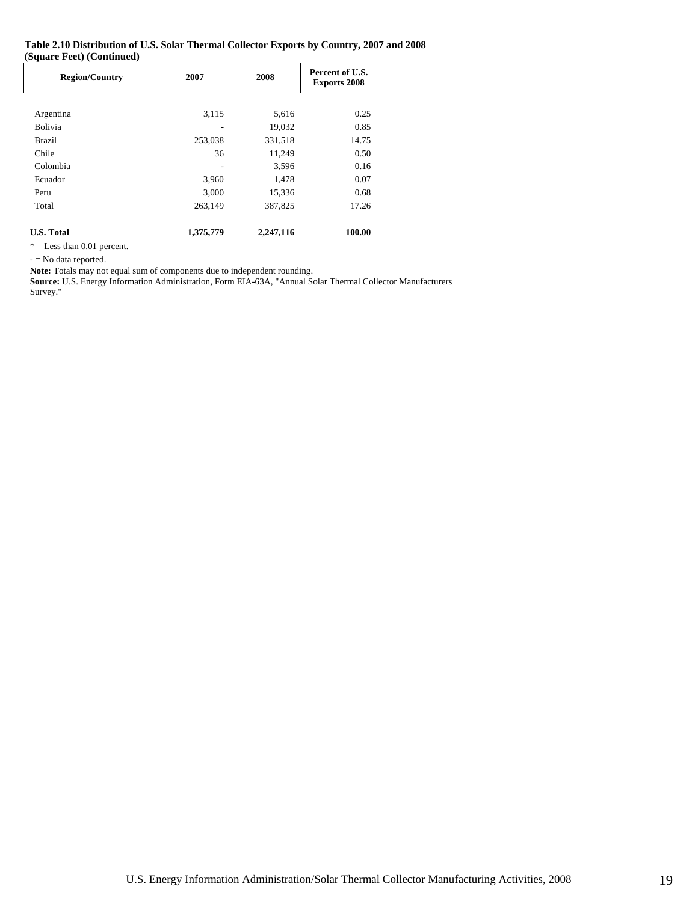#### **Table 2.10 Distribution of U.S. Solar Thermal Collector Exports by Country, 2007 and 2008 (Square Feet) (Continued)**

| <b>Region/Country</b> | 2007      | 2008      | Percent of U.S.<br><b>Exports 2008</b> |
|-----------------------|-----------|-----------|----------------------------------------|
|                       |           |           |                                        |
| Argentina             | 3,115     | 5,616     | 0.25                                   |
| <b>Bolivia</b>        |           | 19,032    | 0.85                                   |
| Brazil                | 253,038   | 331,518   | 14.75                                  |
| Chile                 | 36        | 11,249    | 0.50                                   |
| Colombia              |           | 3,596     | 0.16                                   |
| Ecuador               | 3,960     | 1,478     | 0.07                                   |
| Peru                  | 3,000     | 15,336    | 0.68                                   |
| Total                 | 263,149   | 387,825   | 17.26                                  |
| <b>U.S. Total</b>     | 1,375,779 | 2,247,116 | 100.00                                 |

 $* =$ Less than 0.01 percent.

- = No data reported.

**Note:** Totals may not equal sum of components due to independent rounding.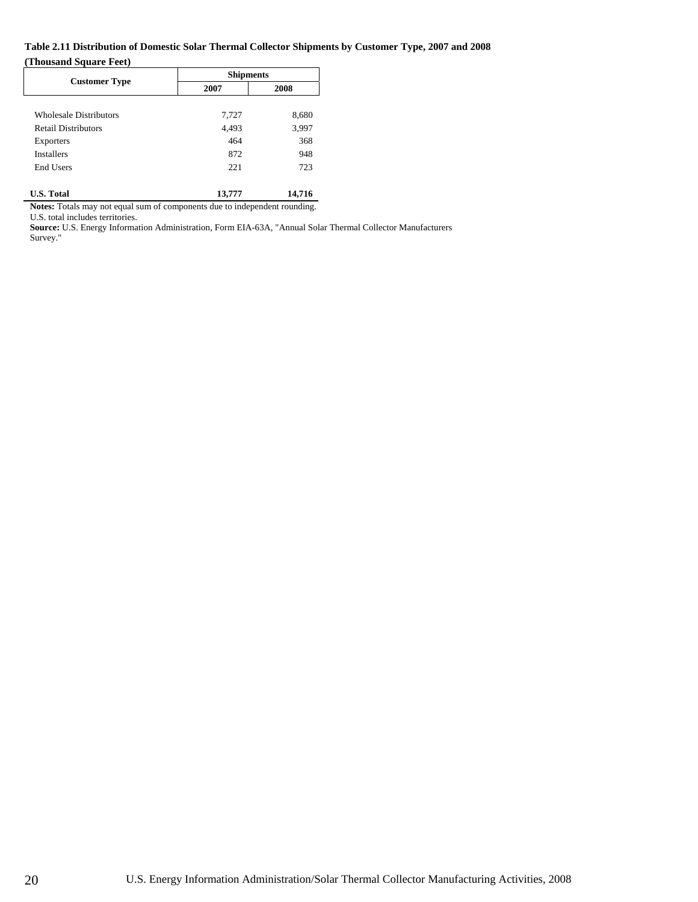### **Table 2.11 Distribution of Domestic Solar Thermal Collector Shipments by Customer Type, 2007 and 2008 (Thousand Square Feet)**

|                               |        | <b>Shipments</b> |  |  |  |
|-------------------------------|--------|------------------|--|--|--|
| <b>Customer Type</b>          | 2007   | 2008             |  |  |  |
|                               |        |                  |  |  |  |
| <b>Wholesale Distributors</b> | 7,727  | 8,680            |  |  |  |
| <b>Retail Distributors</b>    | 4,493  | 3,997            |  |  |  |
| <b>Exporters</b>              | 464    | 368              |  |  |  |
| <b>Installers</b>             | 872    | 948              |  |  |  |
| <b>End Users</b>              | 221    | 723              |  |  |  |
|                               |        |                  |  |  |  |
| <b>U.S. Total</b>             | 13,777 | 14,716           |  |  |  |

**Notes:** Totals may not equal sum of components due to independent rounding.

U.S. total includes territories.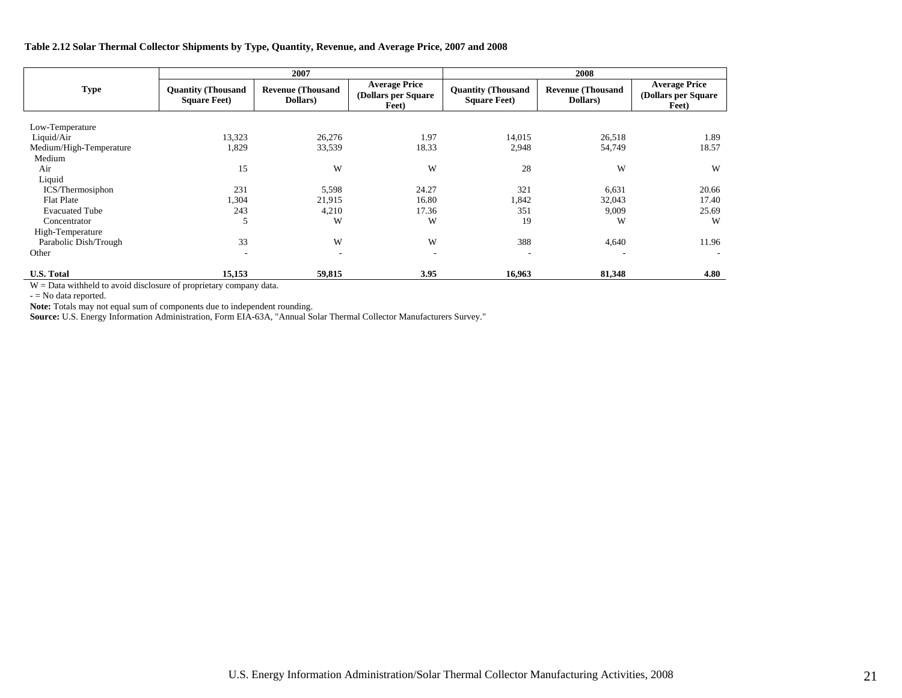### **Table 2.12 Solar Thermal Collector Shipments by Type, Quantity, Revenue, and Average Price, 2007 and 2008**

|                         |                                                   | 2007                                 |                                                       | 2008                                              |                                      |                                                       |  |
|-------------------------|---------------------------------------------------|--------------------------------------|-------------------------------------------------------|---------------------------------------------------|--------------------------------------|-------------------------------------------------------|--|
| <b>Type</b>             | <b>Quantity (Thousand</b><br><b>Square Feet</b> ) | <b>Revenue (Thousand</b><br>Dollars) | <b>Average Price</b><br>(Dollars per Square)<br>Feet) | <b>Quantity (Thousand</b><br><b>Square Feet</b> ) | <b>Revenue (Thousand</b><br>Dollars) | <b>Average Price</b><br>(Dollars per Square)<br>Feet) |  |
| Low-Temperature         |                                                   |                                      |                                                       |                                                   |                                      |                                                       |  |
| Liquid/Air              | 13,323                                            | 26,276                               | 1.97                                                  | 14,015                                            | 26,518                               | 1.89                                                  |  |
| Medium/High-Temperature | 1,829                                             | 33,539                               | 18.33                                                 | 2,948                                             | 54,749                               | 18.57                                                 |  |
| Medium                  |                                                   |                                      |                                                       |                                                   |                                      |                                                       |  |
| Air                     | 15                                                | W                                    | W                                                     | 28                                                | W                                    | W                                                     |  |
| Liquid                  |                                                   |                                      |                                                       |                                                   |                                      |                                                       |  |
| ICS/Thermosiphon        | 231                                               | 5,598                                | 24.27                                                 | 321                                               | 6,631                                | 20.66                                                 |  |
| <b>Flat Plate</b>       | 1,304                                             | 21,915                               | 16.80                                                 | 1,842                                             | 32,043                               | 17.40                                                 |  |
| <b>Evacuated Tube</b>   | 243                                               | 4,210                                | 17.36                                                 | 351                                               | 9,009                                | 25.69                                                 |  |
| Concentrator            | 5                                                 | W                                    | W                                                     | 19                                                | W                                    | W                                                     |  |
| High-Temperature        |                                                   |                                      |                                                       |                                                   |                                      |                                                       |  |
| Parabolic Dish/Trough   | 33                                                | W                                    | W                                                     | 388                                               | 4,640                                | 11.96                                                 |  |
| Other                   | $\overline{\phantom{a}}$                          | $\overline{\phantom{a}}$             | $\overline{\phantom{a}}$                              | ۰                                                 |                                      |                                                       |  |
| <b>U.S. Total</b>       | 15,153                                            | 59,815                               | 3.95                                                  | 16,963                                            | 81,348                               | 4.80                                                  |  |

W = Data withheld to avoid disclosure of proprietary company data.

- = No data reported.

**Note:** Totals may not equal sum of components due to independent rounding.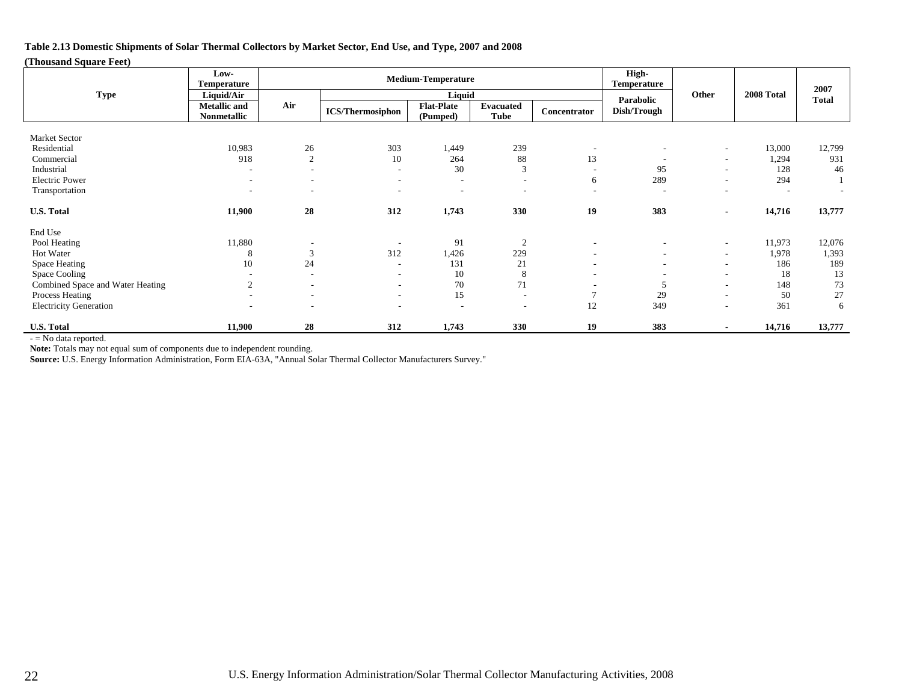**Table 2.13 Domestic Shipments of Solar Thermal Collectors by Market Sector, End Use, and Type, 2007 and 2008** 

### **(Thousand Square Feet)**

|                                  | Low-<br>Temperature                | <b>Medium-Temperature</b> |                          |                               |                                 |                          | High-<br>Temperature     |                          |                          | 2007                     |
|----------------------------------|------------------------------------|---------------------------|--------------------------|-------------------------------|---------------------------------|--------------------------|--------------------------|--------------------------|--------------------------|--------------------------|
| <b>Type</b>                      | Liquid/Air                         |                           |                          | Liquid                        |                                 |                          | Parabolic                | Other                    | 2008 Total               | <b>Total</b>             |
|                                  | <b>Metallic</b> and<br>Nonmetallic | Air                       | <b>ICS/Thermosiphon</b>  | <b>Flat-Plate</b><br>(Pumped) | <b>Evacuated</b><br><b>Tube</b> | Concentrator             | Dish/Trough              |                          |                          |                          |
| Market Sector                    |                                    |                           |                          |                               |                                 |                          |                          |                          |                          |                          |
| Residential                      | 10,983                             | 26                        | 303                      | 1,449                         | 239                             | $\overline{\phantom{a}}$ |                          | $\overline{\phantom{a}}$ | 13,000                   | 12,799                   |
| Commercial                       | 918                                | $\overline{2}$            | 10                       | 264                           | 88                              | 13                       |                          | $\overline{\phantom{a}}$ | 1,294                    | 931                      |
| Industrial                       | $\overline{\phantom{a}}$           | $\overline{\phantom{a}}$  | $\overline{\phantom{a}}$ | 30                            | 3                               |                          | 95                       | $\overline{\phantom{a}}$ | 128                      | 46                       |
| <b>Electric Power</b>            | $\overline{\phantom{a}}$           | $\overline{\phantom{a}}$  | ۰.                       | $\overline{\phantom{a}}$      | $\sim$                          | 6                        | 289                      | $\sim$                   | 294                      |                          |
| Transportation                   | $\overline{\phantom{a}}$           | ٠                         | $\sim$                   | $\overline{\phantom{a}}$      | $\overline{\phantom{a}}$        | $\overline{\phantom{a}}$ | ٠                        | $\overline{\phantom{a}}$ | $\overline{\phantom{a}}$ | $\overline{\phantom{a}}$ |
| <b>U.S. Total</b>                | 11,900                             | 28                        | 312                      | 1,743                         | 330                             | 19                       | 383                      | $\blacksquare$           | 14,716                   | 13,777                   |
| End Use                          |                                    |                           |                          |                               |                                 |                          |                          |                          |                          |                          |
| Pool Heating                     | 11,880                             |                           |                          | 91                            | $\overline{2}$                  | ٠                        |                          | $\sim$                   | 11,973                   | 12,076                   |
| Hot Water                        | 8                                  | 3                         | 312                      | 1,426                         | 229                             | $\overline{\phantom{a}}$ | $\overline{\phantom{a}}$ | $\overline{\phantom{a}}$ | 1,978                    | 1,393                    |
| Space Heating                    | 10                                 | 24                        | ٠                        | 131                           | 21                              | $\overline{\phantom{a}}$ |                          | $\overline{\phantom{a}}$ | 186                      | 189                      |
| Space Cooling                    |                                    |                           | $\overline{\phantom{a}}$ | 10                            | 8                               |                          |                          | $\overline{\phantom{a}}$ | 18                       | 13                       |
| Combined Space and Water Heating | 2                                  |                           | $\overline{\phantom{a}}$ | 70                            | 71                              |                          |                          | $\overline{\phantom{a}}$ | 148                      | 73                       |
| Process Heating                  | $\overline{\phantom{a}}$           | $\overline{\phantom{a}}$  | $\sim$                   | 15                            | $\overline{\phantom{a}}$        | $\overline{7}$           | 29                       | ٠                        | 50                       | 27                       |
| <b>Electricity Generation</b>    | $\overline{\phantom{a}}$           | $\overline{\phantom{a}}$  | $\overline{\phantom{a}}$ |                               | $\overline{\phantom{a}}$        | 12                       | 349                      | $\overline{\phantom{a}}$ | 361                      | 6                        |
| <b>U.S. Total</b>                | 11,900                             | 28                        | 312                      | 1,743                         | 330                             | 19                       | 383                      | $\blacksquare$           | 14,716                   | 13,777                   |

- = No data reported.

**Note:** Totals may not equal sum of components due to independent rounding.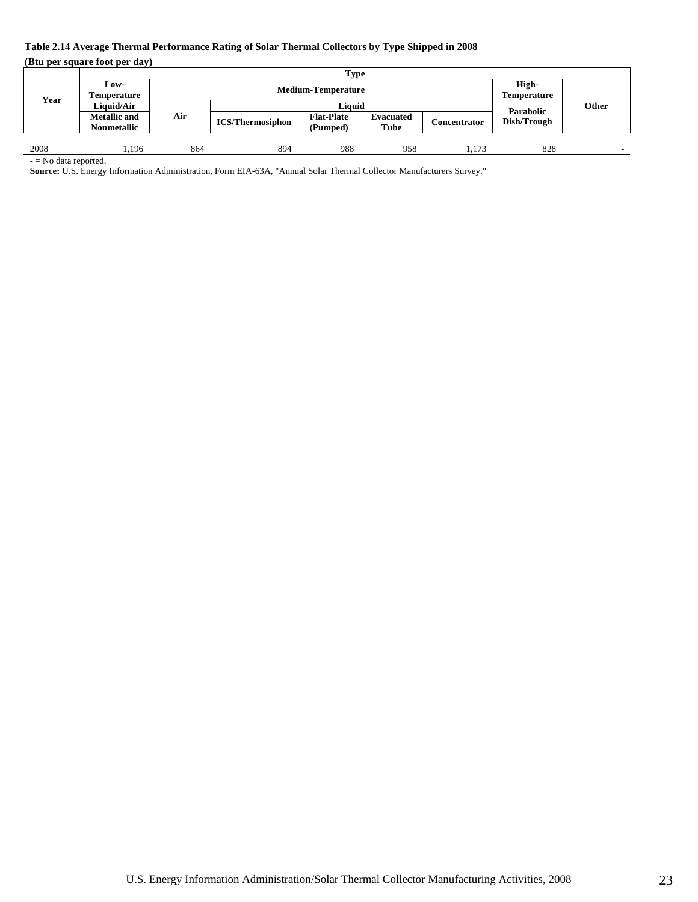### **Table 2.14 Average Thermal Performance Rating of Solar Thermal Collectors by Type Shipped in 2008**

**(Btu per square foot per day)** 

|      |                     |     |                         | Type              |                           |              |                          |       |
|------|---------------------|-----|-------------------------|-------------------|---------------------------|--------------|--------------------------|-------|
|      | Low-                |     |                         |                   |                           |              | High-                    |       |
| Year | Temperature         |     | <b>Temperature</b>      |                   | <b>Medium-Temperature</b> |              |                          |       |
|      | Liauid/Air          |     |                         | Liauid            |                           |              |                          | Other |
|      | <b>Metallic</b> and | Air | <b>ICS/Thermosiphon</b> | <b>Flat-Plate</b> | <b>Evacuated</b>          | Concentrator | Parabolic<br>Dish/Trough |       |
|      | <b>Nonmetallic</b>  |     |                         | (Pumped)          | Tube                      |              |                          |       |
|      |                     |     |                         |                   |                           |              |                          |       |
| 2008 | .196                | 864 | 894                     | 988               | 958                       | 1.173        | 828                      |       |

- = No data reported.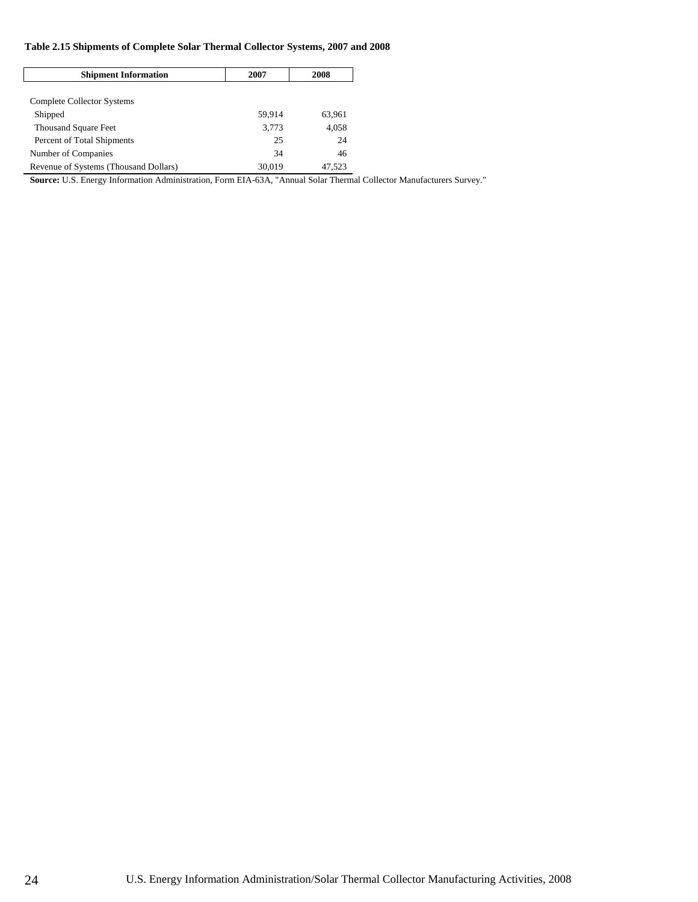### **Table 2.15 Shipments of Complete Solar Thermal Collector Systems, 2007 and 2008**

| <b>Shipment Information</b>           | 2007   | 2008   |
|---------------------------------------|--------|--------|
|                                       |        |        |
| Complete Collector Systems            |        |        |
| Shipped                               | 59.914 | 63,961 |
| <b>Thousand Square Feet</b>           | 3,773  | 4.058  |
| Percent of Total Shipments            | 25     | 24     |
| Number of Companies                   | 34     | 46     |
| Revenue of Systems (Thousand Dollars) | 30,019 | 47,523 |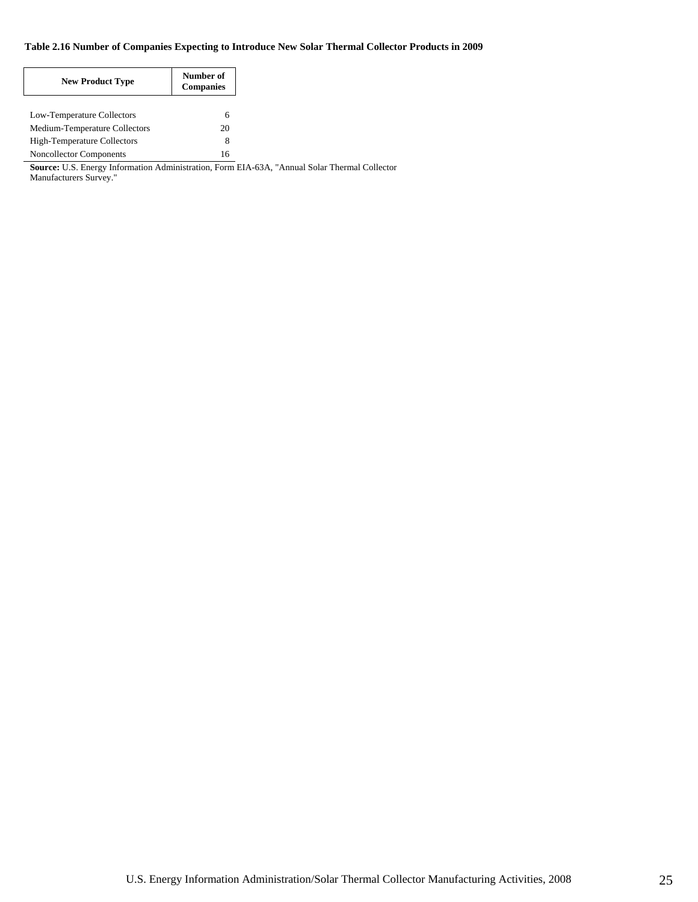### **Table 2.16 Number of Companies Expecting to Introduce New Solar Thermal Collector Products in 2009**

| <b>New Product Type</b>        | Number of<br><b>Companies</b> |
|--------------------------------|-------------------------------|
| Low-Temperature Collectors     | 6                             |
| Medium-Temperature Collectors  | 20                            |
| High-Temperature Collectors    | 8                             |
| <b>Noncollector Components</b> | 16                            |

**Source:** U.S. Energy Information Administration, Form EIA-63A, "Annual Solar Thermal Collector

Manufacturers Survey."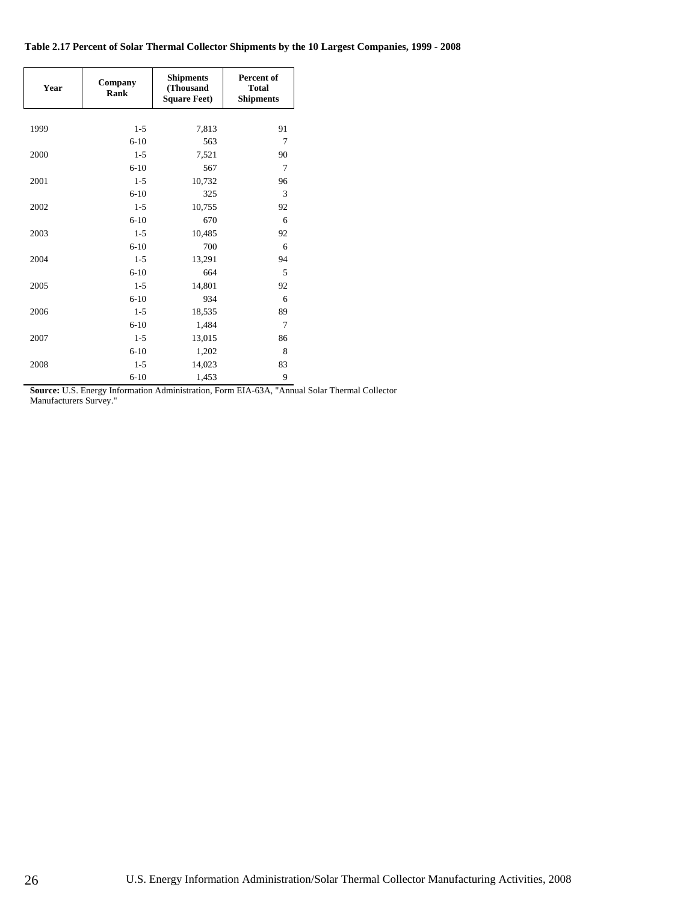### **Table 2.17 Percent of Solar Thermal Collector Shipments by the 10 Largest Companies, 1999 - 2008**

| Year | Company<br>Rank | <b>Shipments</b><br>(Thousand<br><b>Square Feet)</b> | Percent of<br><b>Total</b><br><b>Shipments</b> |
|------|-----------------|------------------------------------------------------|------------------------------------------------|
|      |                 |                                                      |                                                |
| 1999 | $1 - 5$         | 7,813                                                | 91                                             |
|      | $6-10$          | 563                                                  | $\overline{7}$                                 |
| 2000 | $1 - 5$         | 7,521                                                | 90                                             |
|      | $6 - 10$        | 567                                                  | 7                                              |
| 2001 | $1 - 5$         | 10,732                                               | 96                                             |
|      | $6 - 10$        | 325                                                  | 3                                              |
| 2002 | $1 - 5$         | 10,755                                               | 92                                             |
|      | $6 - 10$        | 670                                                  | 6                                              |
| 2003 | $1 - 5$         | 10,485                                               | 92                                             |
|      | $6 - 10$        | 700                                                  | 6                                              |
| 2004 | $1 - 5$         | 13,291                                               | 94                                             |
|      | $6 - 10$        | 664                                                  | 5                                              |
| 2005 | $1 - 5$         | 14,801                                               | 92                                             |
|      | $6 - 10$        | 934                                                  | 6                                              |
| 2006 | $1 - 5$         | 18,535                                               | 89                                             |
|      | $6 - 10$        | 1,484                                                | 7                                              |
| 2007 | $1 - 5$         | 13,015                                               | 86                                             |
|      | $6 - 10$        | 1,202                                                | 8                                              |
| 2008 | $1 - 5$         | 14,023                                               | 83                                             |
|      | $6 - 10$        | 1,453                                                | 9                                              |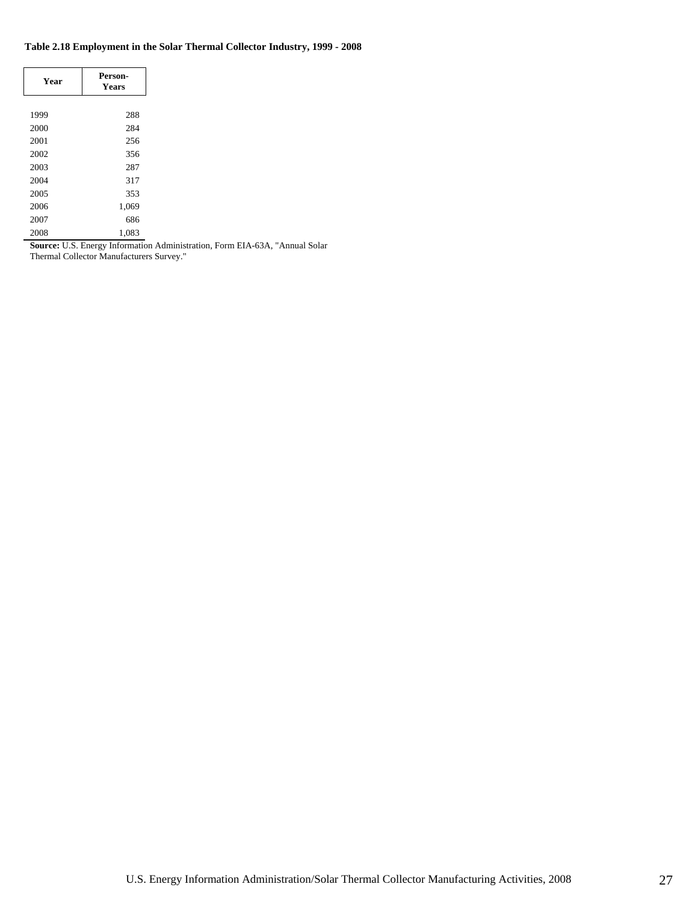### **Table 2.18 Employment in the Solar Thermal Collector Industry, 1999 - 2008**

| Year | Person-<br><b>Years</b> |
|------|-------------------------|
|      |                         |
| 1999 | 288                     |
| 2000 | 284                     |
| 2001 | 256                     |
| 2002 | 356                     |
| 2003 | 287                     |
| 2004 | 317                     |
| 2005 | 353                     |
| 2006 | 1,069                   |
| 2007 | 686                     |
| 2008 | 1,083                   |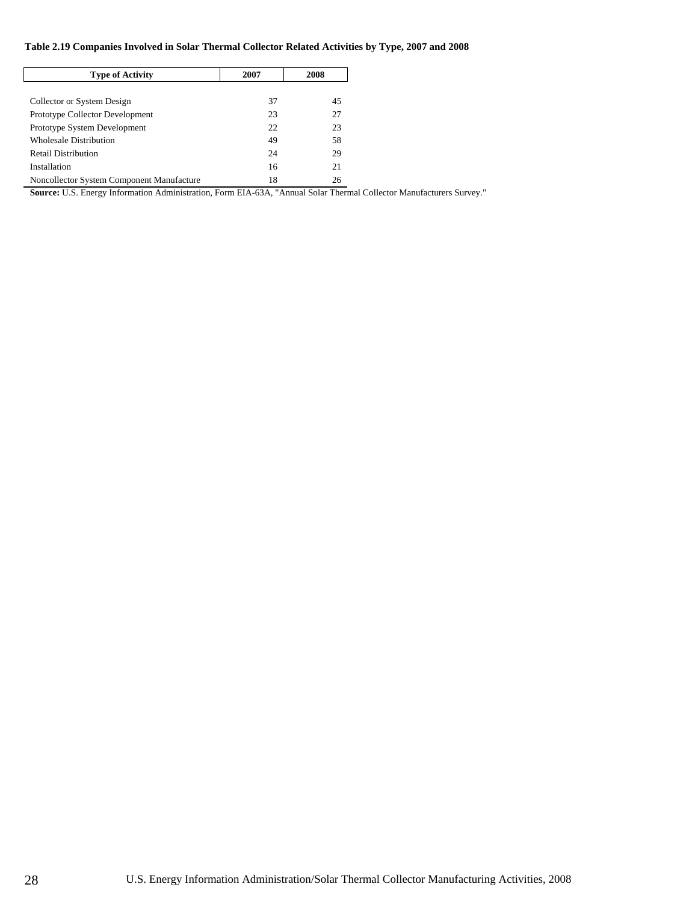### **Table 2.19 Companies Involved in Solar Thermal Collector Related Activities by Type, 2007 and 2008**

| <b>Type of Activity</b>                   | 2007 | 2008 |
|-------------------------------------------|------|------|
|                                           |      |      |
| Collector or System Design                | 37   | 45   |
| Prototype Collector Development           | 23   | 27   |
| Prototype System Development              | 22   | 23   |
| Wholesale Distribution                    | 49   | 58   |
| <b>Retail Distribution</b>                | 24   | 29   |
| Installation                              | 16   | 21   |
| Noncollector System Component Manufacture | 18   | 26   |